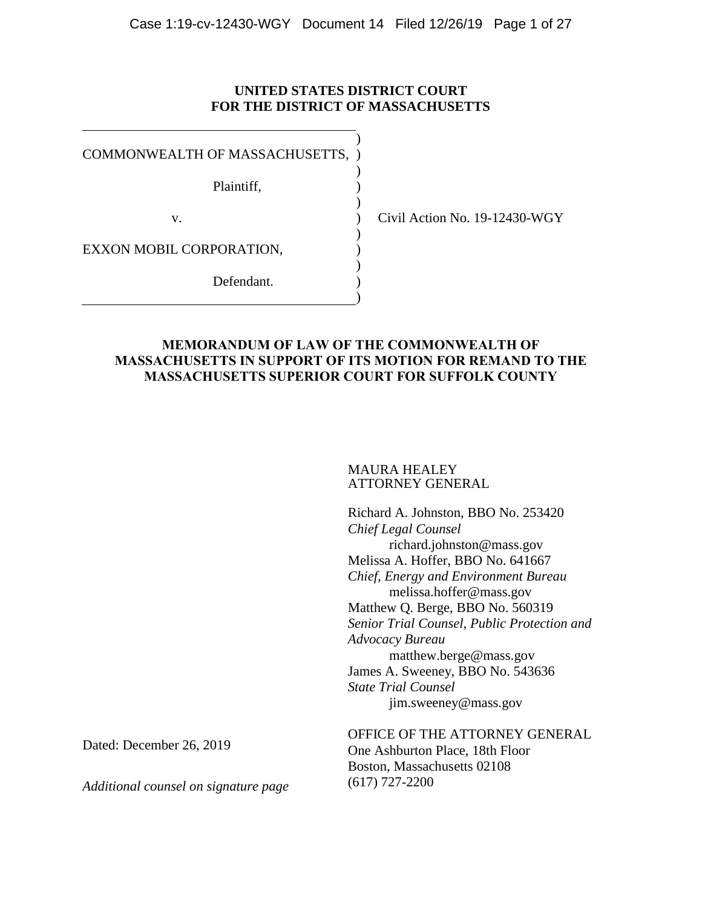## **UNITED STATES DISTRICT COURT FOR THE DISTRICT OF MASSACHUSETTS**

| COMMONWEALTH OF MASSACHUSETTS, |  |
|--------------------------------|--|
| Plaintiff,                     |  |
| V.                             |  |
| EXXON MOBIL CORPORATION.       |  |
| Defendant.                     |  |
|                                |  |

Civil Action No. 19-12430-WGY

## **MEMORANDUM OF LAW OF THE COMMONWEALTH OF MASSACHUSETTS IN SUPPORT OF ITS MOTION FOR REMAND TO THE MASSACHUSETTS SUPERIOR COURT FOR SUFFOLK COUNTY**

#### MAURA HEALEY ATTORNEY GENERAL

Richard A. Johnston, BBO No. 253420 *Chief Legal Counsel* richard.johnston@mass.gov Melissa A. Hoffer, BBO No. 641667 *Chief, Energy and Environment Bureau* melissa.hoffer@mass.gov Matthew Q. Berge, BBO No. 560319 *Senior Trial Counsel, Public Protection and Advocacy Bureau* matthew.berge@mass.gov James A. Sweeney, BBO No. 543636 *State Trial Counsel* [jim.sweeney@mass.gov](mailto:jim.sweeney@mass.gov)

OFFICE OF THE ATTORNEY GENERAL One Ashburton Place, 18th Floor Boston, Massachusetts 02108 (617) 727-2200

Dated: December 26, 2019

*Additional counsel on signature page*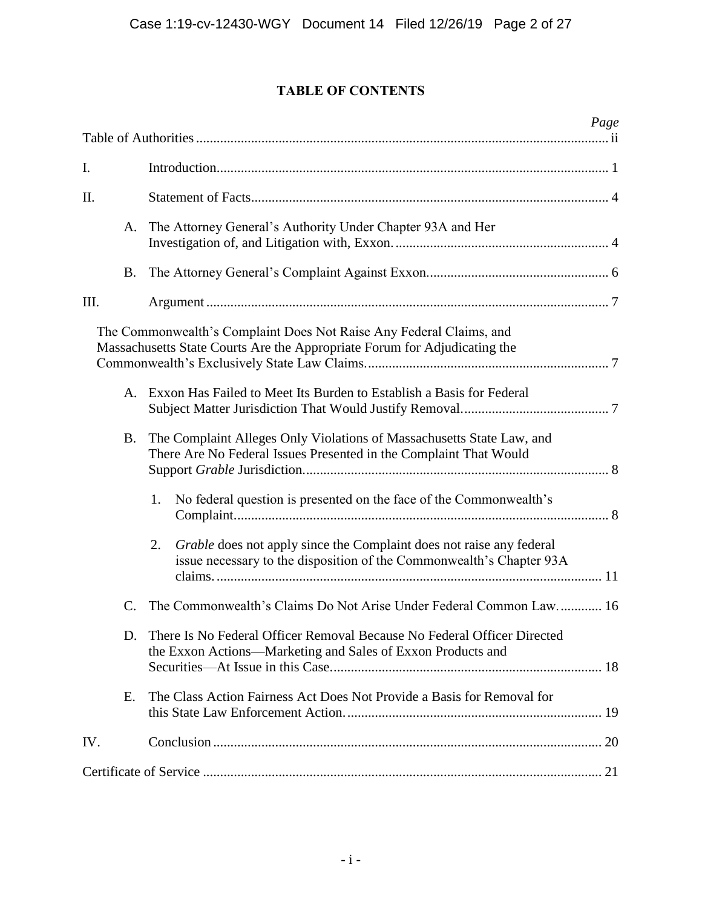# **TABLE OF CONTENTS**

|           | Page                                                                                                                                               |
|-----------|----------------------------------------------------------------------------------------------------------------------------------------------------|
|           |                                                                                                                                                    |
| I.        |                                                                                                                                                    |
| II.       |                                                                                                                                                    |
| A.        | The Attorney General's Authority Under Chapter 93A and Her                                                                                         |
| B.        |                                                                                                                                                    |
| III.      |                                                                                                                                                    |
|           | The Commonwealth's Complaint Does Not Raise Any Federal Claims, and<br>Massachusetts State Courts Are the Appropriate Forum for Adjudicating the   |
|           | A. Exxon Has Failed to Meet Its Burden to Establish a Basis for Federal                                                                            |
| <b>B.</b> | The Complaint Alleges Only Violations of Massachusetts State Law, and<br>There Are No Federal Issues Presented in the Complaint That Would         |
|           | No federal question is presented on the face of the Commonwealth's<br>1.                                                                           |
|           | Grable does not apply since the Complaint does not raise any federal<br>2.<br>issue necessary to the disposition of the Commonwealth's Chapter 93A |
| C.        | The Commonwealth's Claims Do Not Arise Under Federal Common Law 16                                                                                 |
|           | D. There Is No Federal Officer Removal Because No Federal Officer Directed<br>the Exxon Actions-Marketing and Sales of Exxon Products and          |
| Е.        | The Class Action Fairness Act Does Not Provide a Basis for Removal for                                                                             |
| IV.       |                                                                                                                                                    |
|           |                                                                                                                                                    |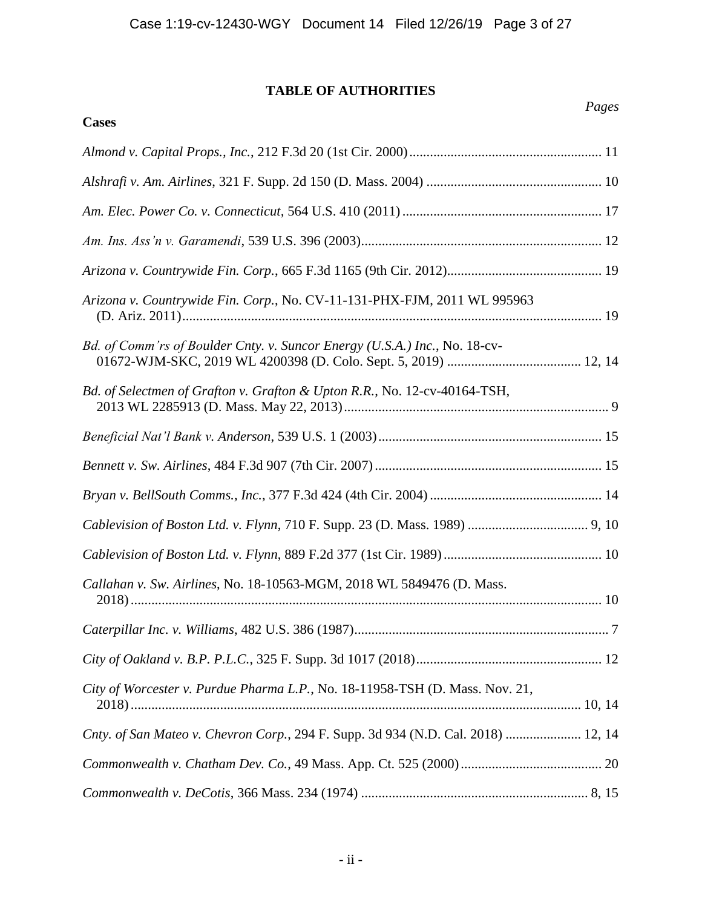# **TABLE OF AUTHORITIES**

**Cases**

| Arizona v. Countrywide Fin. Corp., No. CV-11-131-PHX-FJM, 2011 WL 995963          |
|-----------------------------------------------------------------------------------|
| Bd. of Comm'rs of Boulder Cnty. v. Suncor Energy (U.S.A.) Inc., No. 18-cv-        |
| Bd. of Selectmen of Grafton v. Grafton & Upton R.R., No. 12-cv-40164-TSH,         |
|                                                                                   |
|                                                                                   |
|                                                                                   |
|                                                                                   |
|                                                                                   |
| Callahan v. Sw. Airlines, No. 18-10563-MGM, 2018 WL 5849476 (D. Mass.             |
|                                                                                   |
|                                                                                   |
| City of Worcester v. Purdue Pharma L.P., No. 18-11958-TSH (D. Mass. Nov. 21,      |
| Cnty. of San Mateo v. Chevron Corp., 294 F. Supp. 3d 934 (N.D. Cal. 2018)  12, 14 |
|                                                                                   |
|                                                                                   |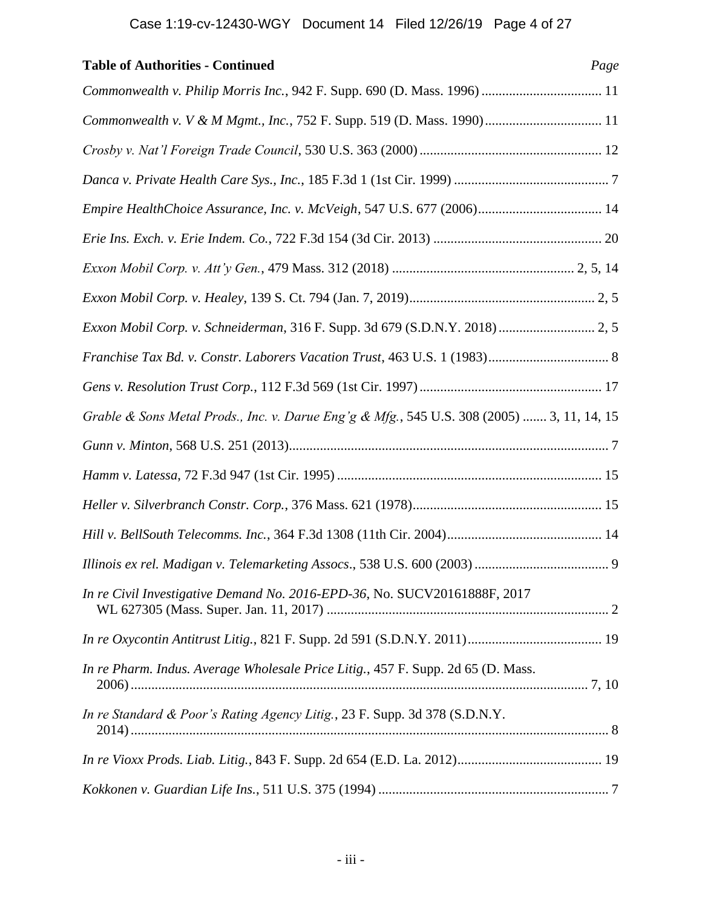| <b>Table of Authorities - Continued</b>                                                    | Page |
|--------------------------------------------------------------------------------------------|------|
| Commonwealth v. Philip Morris Inc., 942 F. Supp. 690 (D. Mass. 1996)  11                   |      |
| Commonwealth v. V & M Mgmt., Inc., 752 F. Supp. 519 (D. Mass. 1990) 11                     |      |
|                                                                                            |      |
|                                                                                            |      |
| Empire HealthChoice Assurance, Inc. v. McVeigh, 547 U.S. 677 (2006) 14                     |      |
|                                                                                            |      |
|                                                                                            |      |
|                                                                                            |      |
| Exxon Mobil Corp. v. Schneiderman, 316 F. Supp. 3d 679 (S.D.N.Y. 2018)  2, 5               |      |
|                                                                                            |      |
|                                                                                            |      |
| Grable & Sons Metal Prods., Inc. v. Darue Eng'g & Mfg., 545 U.S. 308 (2005)  3, 11, 14, 15 |      |
|                                                                                            |      |
|                                                                                            |      |
|                                                                                            |      |
|                                                                                            |      |
|                                                                                            |      |
| In re Civil Investigative Demand No. 2016-EPD-36, No. SUCV20161888F, 2017                  |      |
|                                                                                            |      |
| In re Pharm. Indus. Average Wholesale Price Litig., 457 F. Supp. 2d 65 (D. Mass.           |      |
| In re Standard & Poor's Rating Agency Litig., 23 F. Supp. 3d 378 (S.D.N.Y.                 |      |
|                                                                                            |      |
|                                                                                            |      |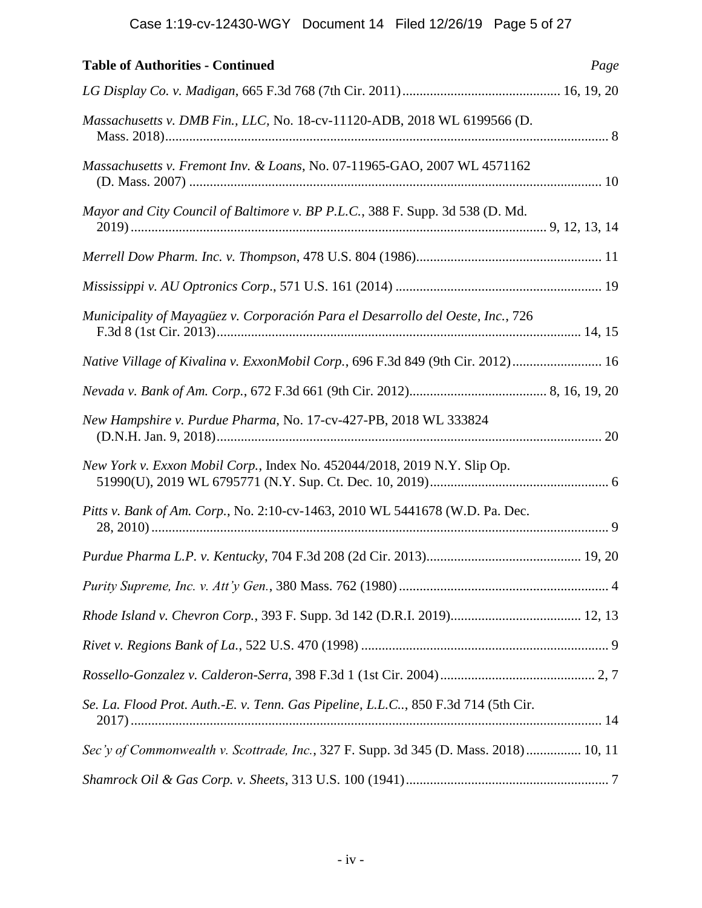| <b>Table of Authorities - Continued</b>                                              | Page |
|--------------------------------------------------------------------------------------|------|
|                                                                                      |      |
| Massachusetts v. DMB Fin., LLC, No. 18-cv-11120-ADB, 2018 WL 6199566 (D.             |      |
| Massachusetts v. Fremont Inv. & Loans, No. 07-11965-GAO, 2007 WL 4571162             |      |
| Mayor and City Council of Baltimore v. BP P.L.C., 388 F. Supp. 3d 538 (D. Md.        |      |
|                                                                                      |      |
|                                                                                      |      |
| Municipality of Mayagüez v. Corporación Para el Desarrollo del Oeste, Inc., 726      |      |
| Native Village of Kivalina v. ExxonMobil Corp., 696 F.3d 849 (9th Cir. 2012)  16     |      |
|                                                                                      |      |
| New Hampshire v. Purdue Pharma, No. 17-cv-427-PB, 2018 WL 333824                     |      |
| New York v. Exxon Mobil Corp., Index No. 452044/2018, 2019 N.Y. Slip Op.             |      |
| Pitts v. Bank of Am. Corp., No. 2:10-cv-1463, 2010 WL 5441678 (W.D. Pa. Dec.         |      |
|                                                                                      |      |
|                                                                                      |      |
|                                                                                      |      |
|                                                                                      |      |
|                                                                                      |      |
| Se. La. Flood Prot. Auth.-E. v. Tenn. Gas Pipeline, L.L.C, 850 F.3d 714 (5th Cir.    |      |
| Sec'y of Commonwealth v. Scottrade, Inc., 327 F. Supp. 3d 345 (D. Mass. 2018) 10, 11 |      |
|                                                                                      |      |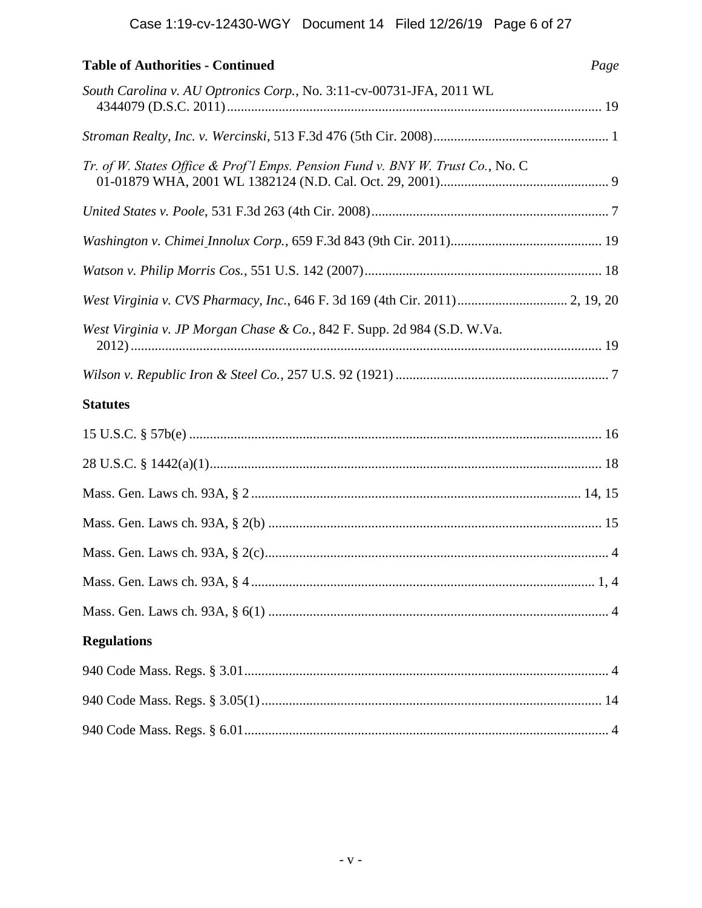| <b>Table of Authorities - Continued</b>                                        | Page |
|--------------------------------------------------------------------------------|------|
| South Carolina v. AU Optronics Corp., No. 3:11-cv-00731-JFA, 2011 WL           |      |
|                                                                                |      |
| Tr. of W. States Office & Prof'l Emps. Pension Fund v. BNY W. Trust Co., No. C |      |
|                                                                                |      |
|                                                                                |      |
|                                                                                |      |
| West Virginia v. CVS Pharmacy, Inc., 646 F. 3d 169 (4th Cir. 2011) 2, 19, 20   |      |
| West Virginia v. JP Morgan Chase & Co., 842 F. Supp. 2d 984 (S.D. W.Va.        |      |
|                                                                                |      |
| <b>Statutes</b>                                                                |      |
|                                                                                |      |
|                                                                                |      |
|                                                                                |      |
|                                                                                |      |
|                                                                                |      |
|                                                                                |      |
|                                                                                |      |
| <b>Regulations</b>                                                             |      |
|                                                                                |      |
|                                                                                |      |
|                                                                                |      |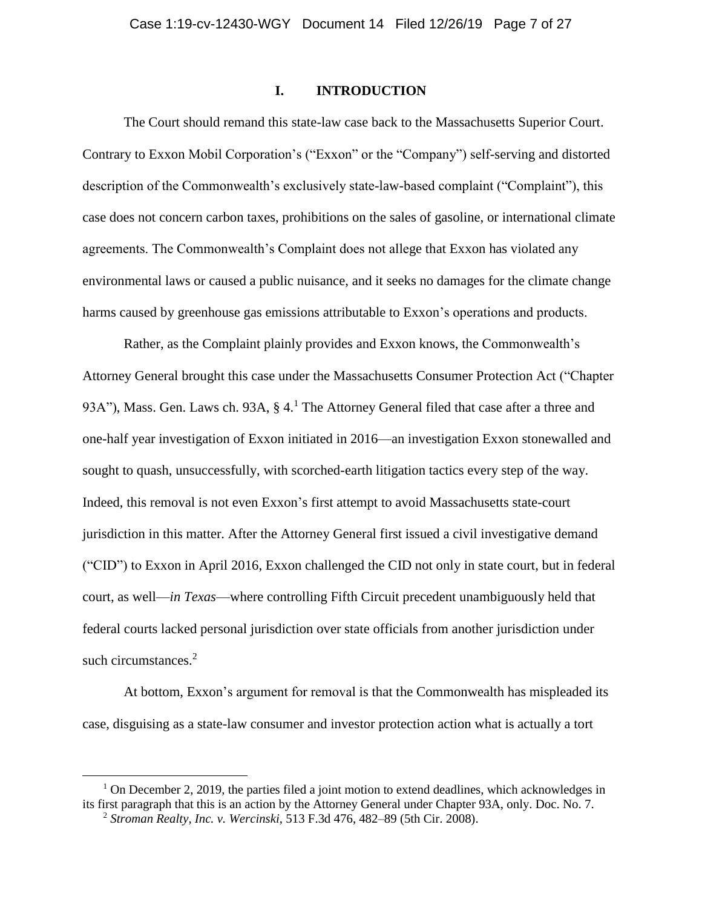#### **I. INTRODUCTION**

The Court should remand this state-law case back to the Massachusetts Superior Court. Contrary to Exxon Mobil Corporation's ("Exxon" or the "Company") self-serving and distorted description of the Commonwealth's exclusively state-law-based complaint ("Complaint"), this case does not concern carbon taxes, prohibitions on the sales of gasoline, or international climate agreements. The Commonwealth's Complaint does not allege that Exxon has violated any environmental laws or caused a public nuisance, and it seeks no damages for the climate change harms caused by greenhouse gas emissions attributable to Exxon's operations and products.

Rather, as the Complaint plainly provides and Exxon knows, the Commonwealth's Attorney General brought this case under the Massachusetts Consumer Protection Act ("Chapter 93A"), Mass. Gen. Laws ch. 93A, § 4.<sup>1</sup> The Attorney General filed that case after a three and one-half year investigation of Exxon initiated in 2016—an investigation Exxon stonewalled and sought to quash, unsuccessfully, with scorched-earth litigation tactics every step of the way. Indeed, this removal is not even Exxon's first attempt to avoid Massachusetts state-court jurisdiction in this matter. After the Attorney General first issued a civil investigative demand ("CID") to Exxon in April 2016, Exxon challenged the CID not only in state court, but in federal court, as well—*in Texas*—where controlling Fifth Circuit precedent unambiguously held that federal courts lacked personal jurisdiction over state officials from another jurisdiction under such circumstances.<sup>2</sup>

At bottom, Exxon's argument for removal is that the Commonwealth has mispleaded its case, disguising as a state-law consumer and investor protection action what is actually a tort

 $1$  On December 2, 2019, the parties filed a joint motion to extend deadlines, which acknowledges in its first paragraph that this is an action by the Attorney General under Chapter 93A, only. Doc. No. 7. <sup>2</sup> *Stroman Realty, Inc. v. Wercinski*, 513 F.3d 476, 482–89 (5th Cir. 2008).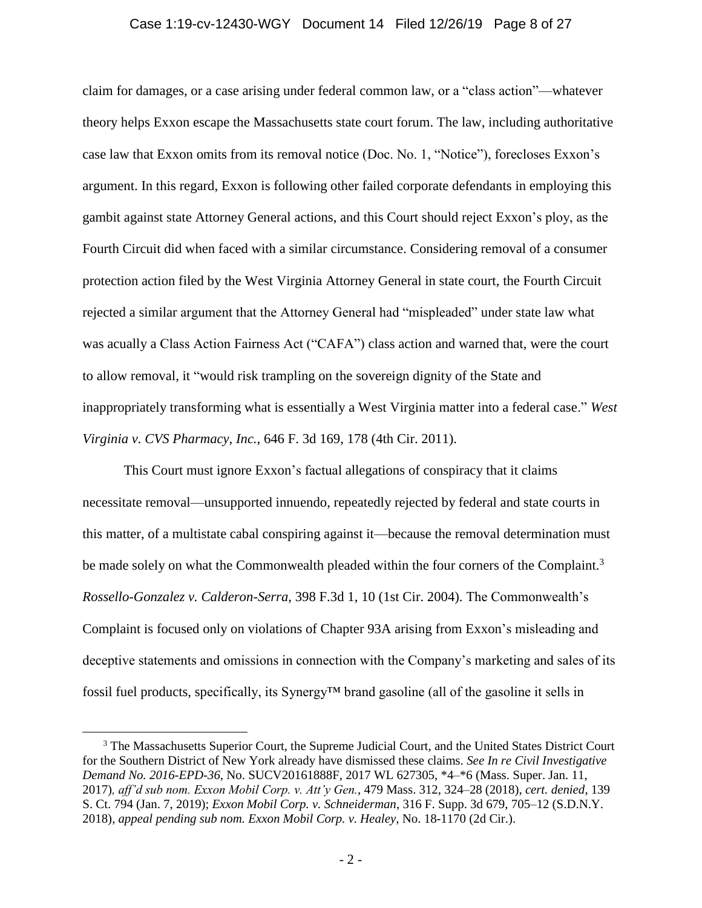#### Case 1:19-cv-12430-WGY Document 14 Filed 12/26/19 Page 8 of 27

claim for damages, or a case arising under federal common law, or a "class action"—whatever theory helps Exxon escape the Massachusetts state court forum. The law, including authoritative case law that Exxon omits from its removal notice (Doc. No. 1, "Notice"), forecloses Exxon's argument. In this regard, Exxon is following other failed corporate defendants in employing this gambit against state Attorney General actions, and this Court should reject Exxon's ploy, as the Fourth Circuit did when faced with a similar circumstance. Considering removal of a consumer protection action filed by the West Virginia Attorney General in state court, the Fourth Circuit rejected a similar argument that the Attorney General had "mispleaded" under state law what was acually a Class Action Fairness Act ("CAFA") class action and warned that, were the court to allow removal, it "would risk trampling on the sovereign dignity of the State and inappropriately transforming what is essentially a West Virginia matter into a federal case." *West Virginia v. CVS Pharmacy, Inc.*, 646 F. 3d 169, 178 (4th Cir. 2011).

This Court must ignore Exxon's factual allegations of conspiracy that it claims necessitate removal—unsupported innuendo, repeatedly rejected by federal and state courts in this matter, of a multistate cabal conspiring against it—because the removal determination must be made solely on what the Commonwealth pleaded within the four corners of the Complaint.<sup>3</sup> *Rossello-Gonzalez v. Calderon-Serra*, 398 F.3d 1, 10 (1st Cir. 2004). The Commonwealth's Complaint is focused only on violations of Chapter 93A arising from Exxon's misleading and deceptive statements and omissions in connection with the Company's marketing and sales of its fossil fuel products, specifically, its Synergy™ brand gasoline (all of the gasoline it sells in

<sup>&</sup>lt;sup>3</sup> The Massachusetts Superior Court, the Supreme Judicial Court, and the United States District Court for the Southern District of New York already have dismissed these claims. *See In re Civil Investigative Demand No. 2016-EPD-36*, No. SUCV20161888F, 2017 WL 627305, \*4–\*6 (Mass. Super. Jan. 11, 2017)*, aff'd sub nom. Exxon Mobil Corp. v. Att'y Gen.*, 479 Mass. 312, 324–28 (2018), *cert. denied*, 139 S. Ct. 794 (Jan. 7, 2019); *Exxon Mobil Corp. v. Schneiderman*, 316 F. Supp. 3d 679, 705–12 (S.D.N.Y. 2018), *appeal pending sub nom. Exxon Mobil Corp. v. Healey*, No. 18-1170 (2d Cir.).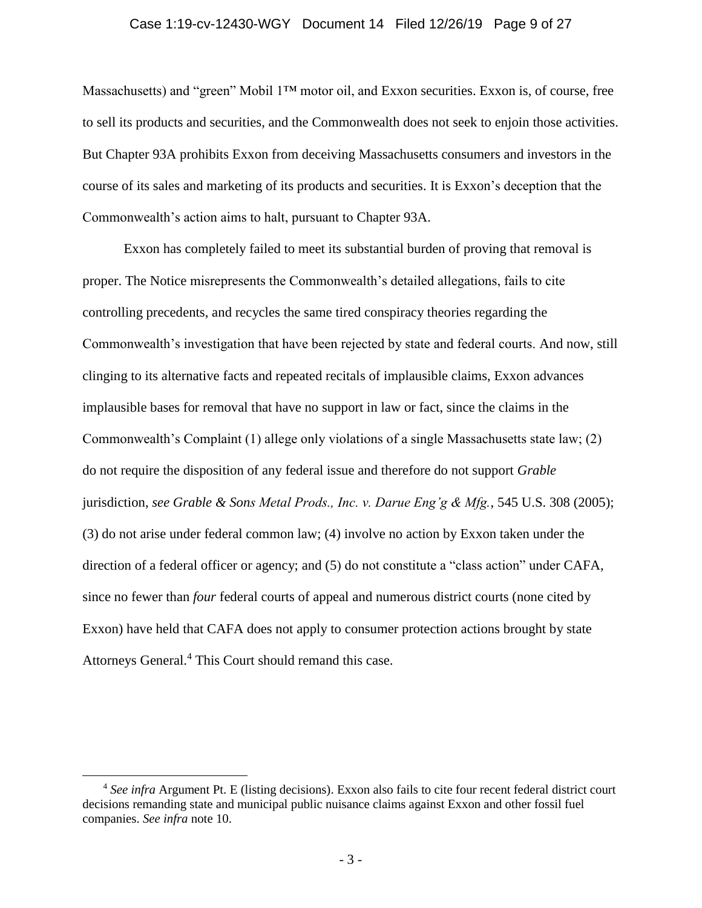#### Case 1:19-cv-12430-WGY Document 14 Filed 12/26/19 Page 9 of 27

Massachusetts) and "green" Mobil 1™ motor oil, and Exxon securities. Exxon is, of course, free to sell its products and securities, and the Commonwealth does not seek to enjoin those activities. But Chapter 93A prohibits Exxon from deceiving Massachusetts consumers and investors in the course of its sales and marketing of its products and securities. It is Exxon's deception that the Commonwealth's action aims to halt, pursuant to Chapter 93A.

Exxon has completely failed to meet its substantial burden of proving that removal is proper. The Notice misrepresents the Commonwealth's detailed allegations, fails to cite controlling precedents, and recycles the same tired conspiracy theories regarding the Commonwealth's investigation that have been rejected by state and federal courts. And now, still clinging to its alternative facts and repeated recitals of implausible claims, Exxon advances implausible bases for removal that have no support in law or fact, since the claims in the Commonwealth's Complaint (1) allege only violations of a single Massachusetts state law; (2) do not require the disposition of any federal issue and therefore do not support *Grable*  jurisdiction, *see Grable & Sons Metal Prods., Inc. v. Darue Eng'g & Mfg.*, 545 U.S. 308 (2005); (3) do not arise under federal common law; (4) involve no action by Exxon taken under the direction of a federal officer or agency; and (5) do not constitute a "class action" under CAFA, since no fewer than *four* federal courts of appeal and numerous district courts (none cited by Exxon) have held that CAFA does not apply to consumer protection actions brought by state Attorneys General.<sup>4</sup> This Court should remand this case.

<sup>4</sup> *See infra* Argument Pt. E (listing decisions). Exxon also fails to cite four recent federal district court decisions remanding state and municipal public nuisance claims against Exxon and other fossil fuel companies. *See infra* note [10.](#page-16-0)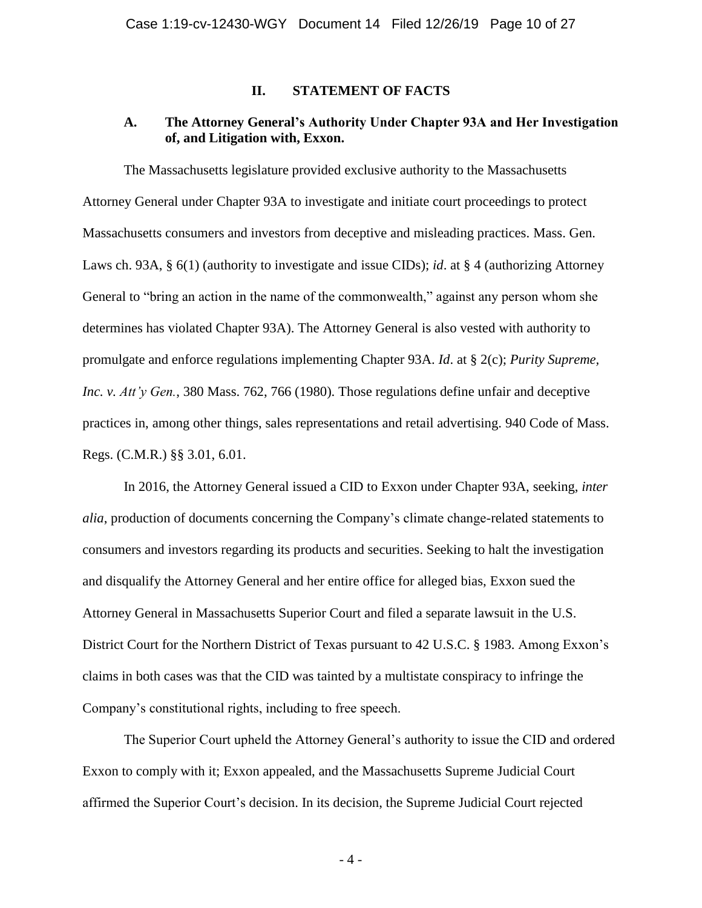#### **II. STATEMENT OF FACTS**

## **A. The Attorney General's Authority Under Chapter 93A and Her Investigation of, and Litigation with, Exxon.**

The Massachusetts legislature provided exclusive authority to the Massachusetts Attorney General under Chapter 93A to investigate and initiate court proceedings to protect Massachusetts consumers and investors from deceptive and misleading practices. Mass. Gen. Laws ch. 93A, § 6(1) (authority to investigate and issue CIDs); *id*. at § 4 (authorizing Attorney General to "bring an action in the name of the commonwealth," against any person whom she determines has violated Chapter 93A). The Attorney General is also vested with authority to promulgate and enforce regulations implementing Chapter 93A. *Id*. at § 2(c); *Purity Supreme, Inc. v. Att'y Gen.*, 380 Mass. 762, 766 (1980). Those regulations define unfair and deceptive practices in, among other things, sales representations and retail advertising. 940 Code of Mass. Regs. (C.M.R.) §§ 3.01, 6.01.

In 2016, the Attorney General issued a CID to Exxon under Chapter 93A, seeking, *inter alia*, production of documents concerning the Company's climate change-related statements to consumers and investors regarding its products and securities. Seeking to halt the investigation and disqualify the Attorney General and her entire office for alleged bias, Exxon sued the Attorney General in Massachusetts Superior Court and filed a separate lawsuit in the U.S. District Court for the Northern District of Texas pursuant to 42 U.S.C. § 1983. Among Exxon's claims in both cases was that the CID was tainted by a multistate conspiracy to infringe the Company's constitutional rights, including to free speech.

The Superior Court upheld the Attorney General's authority to issue the CID and ordered Exxon to comply with it; Exxon appealed, and the Massachusetts Supreme Judicial Court affirmed the Superior Court's decision. In its decision, the Supreme Judicial Court rejected

- 4 -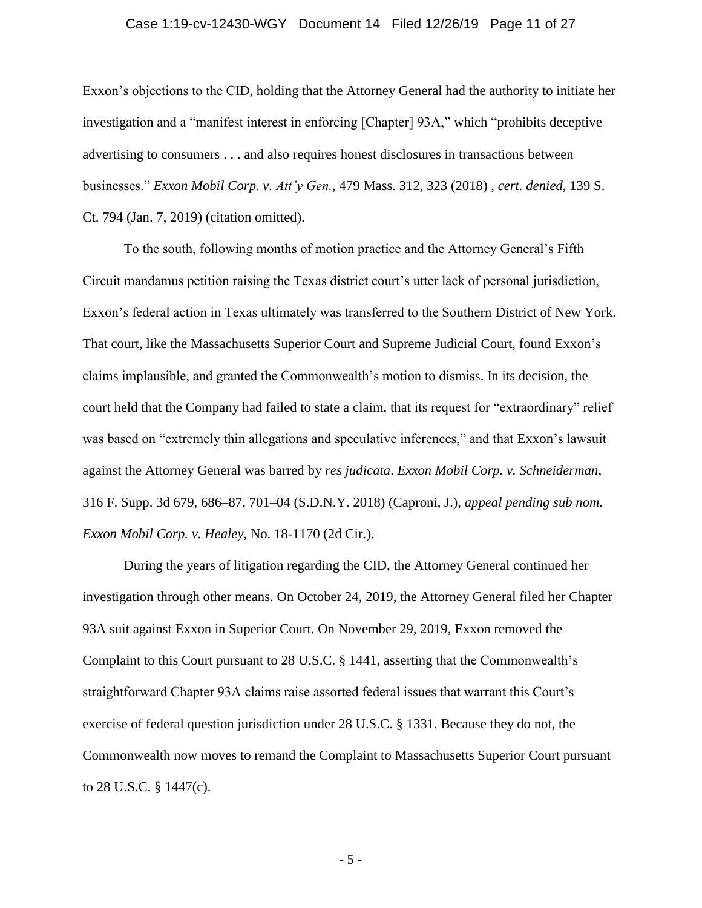#### Case 1:19-cv-12430-WGY Document 14 Filed 12/26/19 Page 11 of 27

Exxon's objections to the CID, holding that the Attorney General had the authority to initiate her investigation and a "manifest interest in enforcing [Chapter] 93A," which "prohibits deceptive advertising to consumers . . . and also requires honest disclosures in transactions between businesses." *Exxon Mobil Corp. v. Att'y Gen.*, 479 Mass. 312, 323 (2018) , *cert. denied*, 139 S. Ct. 794 (Jan. 7, 2019) (citation omitted).

To the south, following months of motion practice and the Attorney General's Fifth Circuit mandamus petition raising the Texas district court's utter lack of personal jurisdiction, Exxon's federal action in Texas ultimately was transferred to the Southern District of New York. That court, like the Massachusetts Superior Court and Supreme Judicial Court, found Exxon's claims implausible, and granted the Commonwealth's motion to dismiss. In its decision, the court held that the Company had failed to state a claim, that its request for "extraordinary" relief was based on "extremely thin allegations and speculative inferences," and that Exxon's lawsuit against the Attorney General was barred by *res judicata*. *Exxon Mobil Corp. v. Schneiderman*, 316 F. Supp. 3d 679, 686–87, 701–04 (S.D.N.Y. 2018) (Caproni, J.), *appeal pending sub nom. Exxon Mobil Corp. v. Healey*, No. 18-1170 (2d Cir.).

During the years of litigation regarding the CID, the Attorney General continued her investigation through other means. On October 24, 2019, the Attorney General filed her Chapter 93A suit against Exxon in Superior Court. On November 29, 2019, Exxon removed the Complaint to this Court pursuant to 28 U.S.C. § 1441, asserting that the Commonwealth's straightforward Chapter 93A claims raise assorted federal issues that warrant this Court's exercise of federal question jurisdiction under 28 U.S.C. § 1331. Because they do not, the Commonwealth now moves to remand the Complaint to Massachusetts Superior Court pursuant to 28 U.S.C. § 1447(c).

- 5 -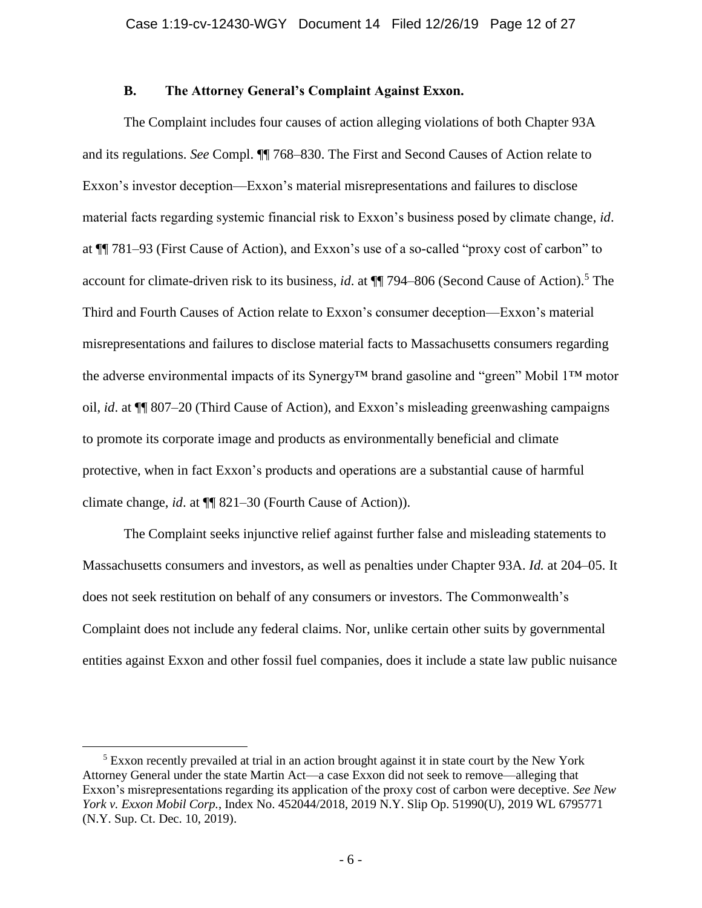#### **B. The Attorney General's Complaint Against Exxon.**

The Complaint includes four causes of action alleging violations of both Chapter 93A and its regulations. *See* Compl. ¶¶ 768–830. The First and Second Causes of Action relate to Exxon's investor deception—Exxon's material misrepresentations and failures to disclose material facts regarding systemic financial risk to Exxon's business posed by climate change, *id*. at ¶¶ 781–93 (First Cause of Action), and Exxon's use of a so-called "proxy cost of carbon" to account for climate-driven risk to its business, *id*. at ¶¶ 794–806 (Second Cause of Action).<sup>5</sup> The Third and Fourth Causes of Action relate to Exxon's consumer deception—Exxon's material misrepresentations and failures to disclose material facts to Massachusetts consumers regarding the adverse environmental impacts of its Synergy™ brand gasoline and "green" Mobil 1™ motor oil, *id*. at ¶¶ 807–20 (Third Cause of Action), and Exxon's misleading greenwashing campaigns to promote its corporate image and products as environmentally beneficial and climate protective, when in fact Exxon's products and operations are a substantial cause of harmful climate change, *id*. at ¶¶ 821–30 (Fourth Cause of Action)).

The Complaint seeks injunctive relief against further false and misleading statements to Massachusetts consumers and investors, as well as penalties under Chapter 93A. *Id.* at 204–05. It does not seek restitution on behalf of any consumers or investors. The Commonwealth's Complaint does not include any federal claims. Nor, unlike certain other suits by governmental entities against Exxon and other fossil fuel companies, does it include a state law public nuisance

<sup>&</sup>lt;sup>5</sup> Exxon recently prevailed at trial in an action brought against it in state court by the New York Attorney General under the state Martin Act—a case Exxon did not seek to remove—alleging that Exxon's misrepresentations regarding its application of the proxy cost of carbon were deceptive. *See New York v. Exxon Mobil Corp.*, Index No. 452044/2018, 2019 N.Y. Slip Op. 51990(U), 2019 WL 6795771 (N.Y. Sup. Ct. Dec. 10, 2019).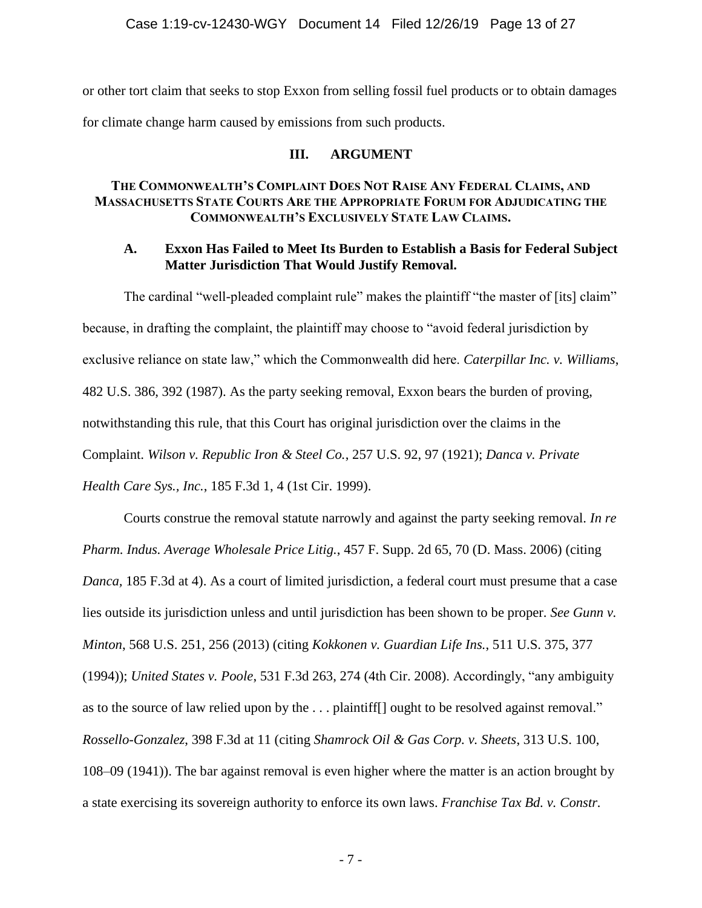or other tort claim that seeks to stop Exxon from selling fossil fuel products or to obtain damages for climate change harm caused by emissions from such products.

#### **III. ARGUMENT**

## **THE COMMONWEALTH'S COMPLAINT DOES NOT RAISE ANY FEDERAL CLAIMS, AND MASSACHUSETTS STATE COURTS ARE THE APPROPRIATE FORUM FOR ADJUDICATING THE COMMONWEALTH'S EXCLUSIVELY STATE LAW CLAIMS.**

#### **A. Exxon Has Failed to Meet Its Burden to Establish a Basis for Federal Subject Matter Jurisdiction That Would Justify Removal.**

The cardinal "well-pleaded complaint rule" makes the plaintiff "the master of [its] claim" because, in drafting the complaint, the plaintiff may choose to "avoid federal jurisdiction by exclusive reliance on state law," which the Commonwealth did here. *Caterpillar Inc. v. Williams*, 482 U.S. 386, 392 (1987). As the party seeking removal, Exxon bears the burden of proving, notwithstanding this rule, that this Court has original jurisdiction over the claims in the Complaint. *Wilson v. Republic Iron & Steel Co.*, 257 U.S. 92, 97 (1921); *Danca v. Private Health Care Sys., Inc.*, 185 F.3d 1, 4 (1st Cir. 1999).

Courts construe the removal statute narrowly and against the party seeking removal. *In re Pharm. Indus. Average Wholesale Price Litig.*, 457 F. Supp. 2d 65, 70 (D. Mass. 2006) (citing *Danca,* 185 F.3d at 4). As a court of limited jurisdiction, a federal court must presume that a case lies outside its jurisdiction unless and until jurisdiction has been shown to be proper. *See Gunn v. Minton*, 568 U.S. 251, 256 (2013) (citing *Kokkonen v. Guardian Life Ins.*, 511 U.S. 375, 377 (1994)); *United States v. Poole*, 531 F.3d 263, 274 (4th Cir. 2008). Accordingly, "any ambiguity as to the source of law relied upon by the . . . plaintiff[] ought to be resolved against removal." *Rossello-Gonzalez*, 398 F.3d at 11 (citing *Shamrock Oil & Gas Corp. v. Sheets*, 313 U.S. 100, 108–09 (1941)). The bar against removal is even higher where the matter is an action brought by a state exercising its sovereign authority to enforce its own laws. *Franchise Tax Bd. v. Constr.*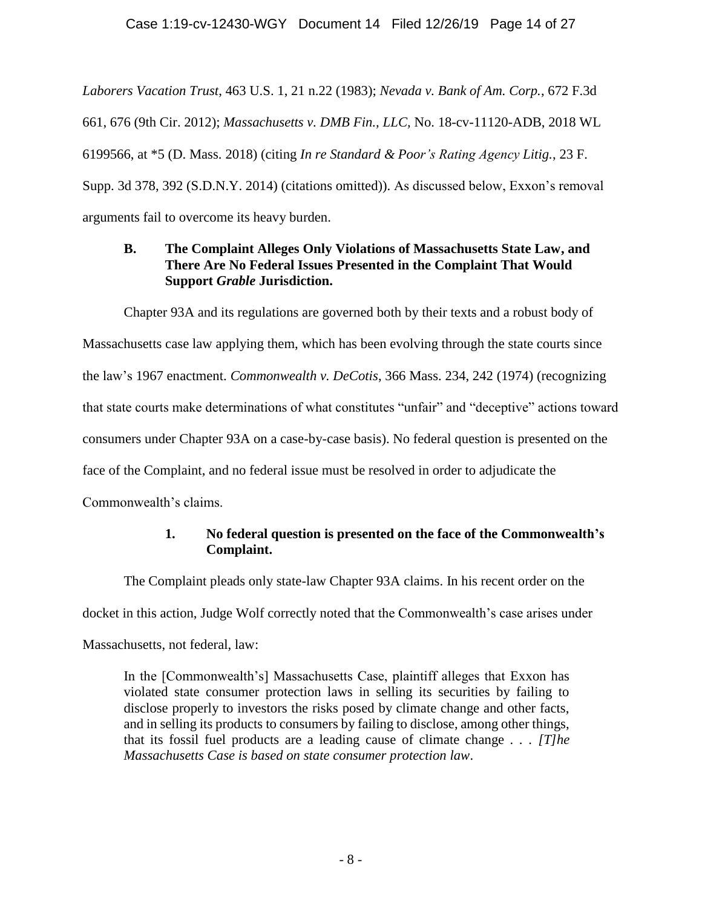*Laborers Vacation Trust*, 463 U.S. 1, 21 n.22 (1983); *Nevada v. Bank of Am. Corp.*, 672 F.3d 661, 676 (9th Cir. 2012); *Massachusetts v. DMB Fin., LLC,* No. 18-cv-11120-ADB, 2018 WL 6199566, at \*5 (D. Mass. 2018) (citing *In re Standard & Poor's Rating Agency Litig.*, 23 F. Supp. 3d 378, 392 (S.D.N.Y. 2014) (citations omitted)). As discussed below, Exxon's removal arguments fail to overcome its heavy burden.

## **B. The Complaint Alleges Only Violations of Massachusetts State Law, and There Are No Federal Issues Presented in the Complaint That Would Support** *Grable* **Jurisdiction.**

Chapter 93A and its regulations are governed both by their texts and a robust body of Massachusetts case law applying them, which has been evolving through the state courts since the law's 1967 enactment. *Commonwealth v. DeCotis*, 366 Mass. 234, 242 (1974) (recognizing that state courts make determinations of what constitutes "unfair" and "deceptive" actions toward consumers under Chapter 93A on a case-by-case basis). No federal question is presented on the face of the Complaint, and no federal issue must be resolved in order to adjudicate the Commonwealth's claims.

## **1. No federal question is presented on the face of the Commonwealth's Complaint.**

The Complaint pleads only state-law Chapter 93A claims. In his recent order on the docket in this action, Judge Wolf correctly noted that the Commonwealth's case arises under Massachusetts, not federal, law:

In the [Commonwealth's] Massachusetts Case, plaintiff alleges that Exxon has violated state consumer protection laws in selling its securities by failing to disclose properly to investors the risks posed by climate change and other facts, and in selling its products to consumers by failing to disclose, among other things, that its fossil fuel products are a leading cause of climate change . . . *[T]he Massachusetts Case is based on state consumer protection law*.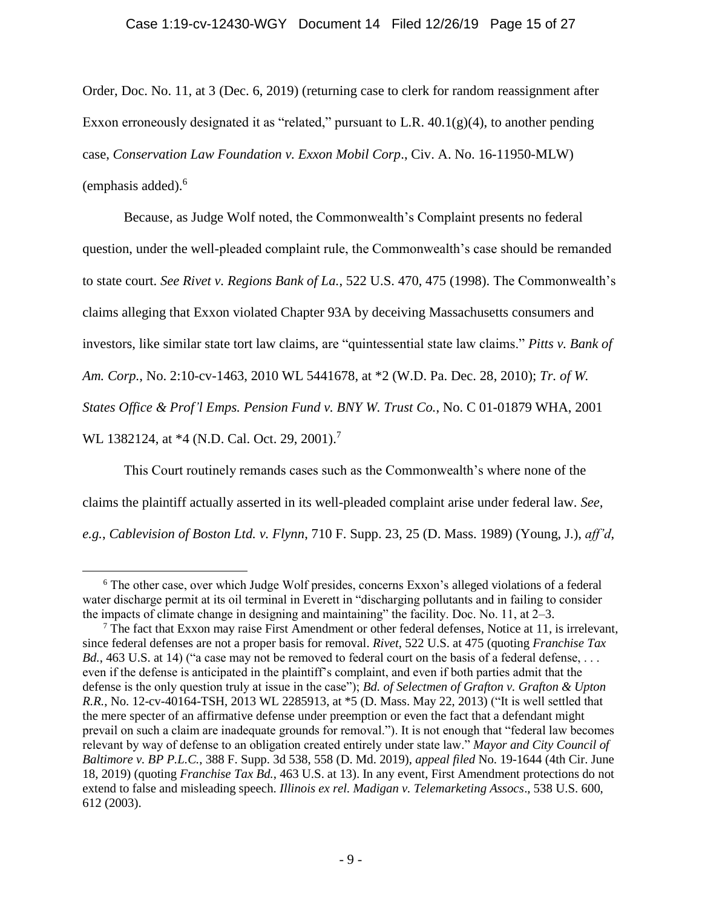Order, Doc. No. 11, at 3 (Dec. 6, 2019) (returning case to clerk for random reassignment after Exxon erroneously designated it as "related," pursuant to L.R.  $40.1(g)(4)$ , to another pending case, *Conservation Law Foundation v. Exxon Mobil Corp*., Civ. A. No. 16-11950-MLW)  $(emphasis added).<sup>6</sup>$ 

Because, as Judge Wolf noted, the Commonwealth's Complaint presents no federal question, under the well-pleaded complaint rule, the Commonwealth's case should be remanded to state court. *See Rivet v. Regions Bank of La.*, 522 U.S. 470, 475 (1998). The Commonwealth's claims alleging that Exxon violated Chapter 93A by deceiving Massachusetts consumers and investors, like similar state tort law claims, are "quintessential state law claims." *Pitts v. Bank of Am. Corp.*, No. 2:10-cv-1463, 2010 WL 5441678, at \*2 (W.D. Pa. Dec. 28, 2010); *Tr. of W. States Office & Prof'l Emps. Pension Fund v. BNY W. Trust Co.*, No. C 01-01879 WHA, 2001 WL 1382124, at \*4 (N.D. Cal. Oct. 29, 2001).<sup>7</sup>

<span id="page-14-0"></span>This Court routinely remands cases such as the Commonwealth's where none of the claims the plaintiff actually asserted in its well-pleaded complaint arise under federal law. *See, e.g.*, *Cablevision of Boston Ltd. v. Flynn*, 710 F. Supp. 23, 25 (D. Mass. 1989) (Young, J.), *aff'd*,

 $6$  The other case, over which Judge Wolf presides, concerns Exxon's alleged violations of a federal water discharge permit at its oil terminal in Everett in "discharging pollutants and in failing to consider the impacts of climate change in designing and maintaining" the facility. Doc. No. 11, at 2–3.

<sup>&</sup>lt;sup>7</sup> The fact that Exxon may raise First Amendment or other federal defenses, Notice at 11, is irrelevant, since federal defenses are not a proper basis for removal. *Rivet*, 522 U.S. at 475 (quoting *Franchise Tax Bd.*, 463 U.S. at 14) ("a case may not be removed to federal court on the basis of a federal defense, ... even if the defense is anticipated in the plaintiff's complaint, and even if both parties admit that the defense is the only question truly at issue in the case"); *Bd. of Selectmen of Grafton v. Grafton & Upton R.R.*, No. 12-cv-40164-TSH, 2013 WL 2285913, at \*5 (D. Mass. May 22, 2013) ("It is well settled that the mere specter of an affirmative defense under preemption or even the fact that a defendant might prevail on such a claim are inadequate grounds for removal."). It is not enough that "federal law becomes relevant by way of defense to an obligation created entirely under state law." *Mayor and City Council of Baltimore v. BP P.L.C.*, 388 F. Supp. 3d 538, 558 (D. Md. 2019), *appeal filed* No. 19-1644 (4th Cir. June 18, 2019) (quoting *Franchise Tax Bd.*, 463 U.S. at 13). In any event, First Amendment protections do not extend to false and misleading speech. *Illinois ex rel. Madigan v. Telemarketing Assocs*., 538 U.S. 600, 612 (2003).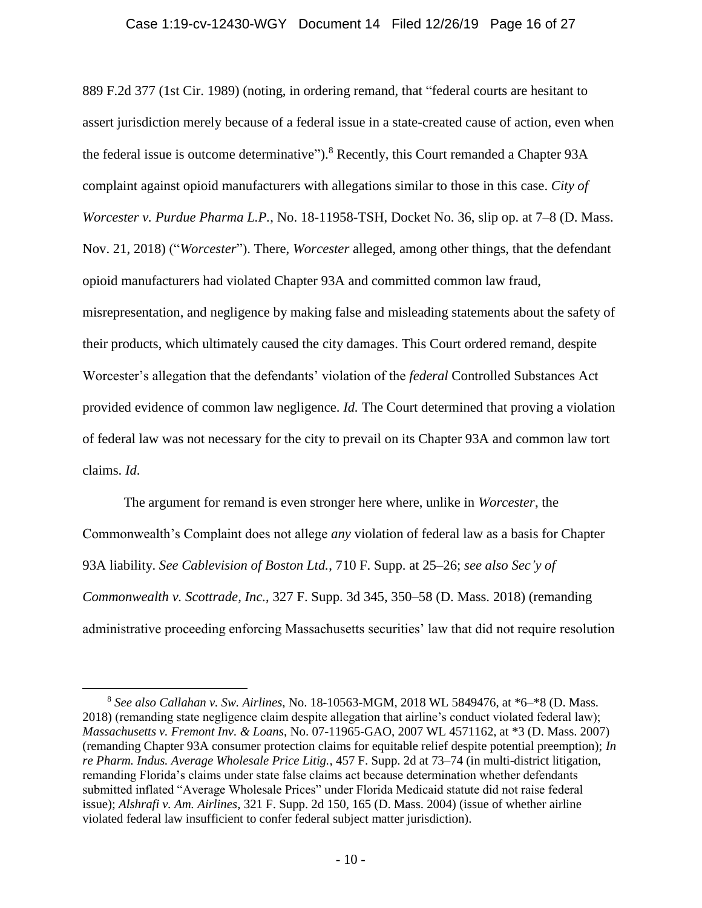#### Case 1:19-cv-12430-WGY Document 14 Filed 12/26/19 Page 16 of 27

889 F.2d 377 (1st Cir. 1989) (noting, in ordering remand, that "federal courts are hesitant to assert jurisdiction merely because of a federal issue in a state-created cause of action, even when the federal issue is outcome determinative").<sup>8</sup> Recently, this Court remanded a Chapter 93A complaint against opioid manufacturers with allegations similar to those in this case. *City of Worcester v. Purdue Pharma L.P.*, No. 18-11958-TSH, Docket No. 36, slip op. at 7–8 (D. Mass. Nov. 21, 2018) ("*Worcester*"). There, *Worcester* alleged, among other things, that the defendant opioid manufacturers had violated Chapter 93A and committed common law fraud, misrepresentation, and negligence by making false and misleading statements about the safety of their products, which ultimately caused the city damages. This Court ordered remand, despite Worcester's allegation that the defendants' violation of the *federal* Controlled Substances Act provided evidence of common law negligence. *Id.* The Court determined that proving a violation of federal law was not necessary for the city to prevail on its Chapter 93A and common law tort claims. *Id*.

The argument for remand is even stronger here where, unlike in *Worcester*, the Commonwealth's Complaint does not allege *any* violation of federal law as a basis for Chapter 93A liability. *See Cablevision of Boston Ltd.*, 710 F. Supp. at 25–26; *see also Sec'y of Commonwealth v. Scottrade, Inc.*, 327 F. Supp. 3d 345, 350–58 (D. Mass. 2018) (remanding administrative proceeding enforcing Massachusetts securities' law that did not require resolution

<sup>8</sup> *See also Callahan v. Sw. Airlines*, No. 18-10563-MGM, 2018 WL 5849476, at \*6–\*8 (D. Mass. 2018) (remanding state negligence claim despite allegation that airline's conduct violated federal law); *Massachusetts v. Fremont Inv. & Loans*, No. 07-11965-GAO, 2007 WL 4571162, at \*3 (D. Mass. 2007) (remanding Chapter 93A consumer protection claims for equitable relief despite potential preemption); *In re Pharm. Indus. Average Wholesale Price Litig.*, 457 F. Supp. 2d at 73–74 (in multi-district litigation, remanding Florida's claims under state false claims act because determination whether defendants submitted inflated "Average Wholesale Prices" under Florida Medicaid statute did not raise federal issue); *Alshrafi v. Am. Airlines*, 321 F. Supp. 2d 150, 165 (D. Mass. 2004) (issue of whether airline violated federal law insufficient to confer federal subject matter jurisdiction).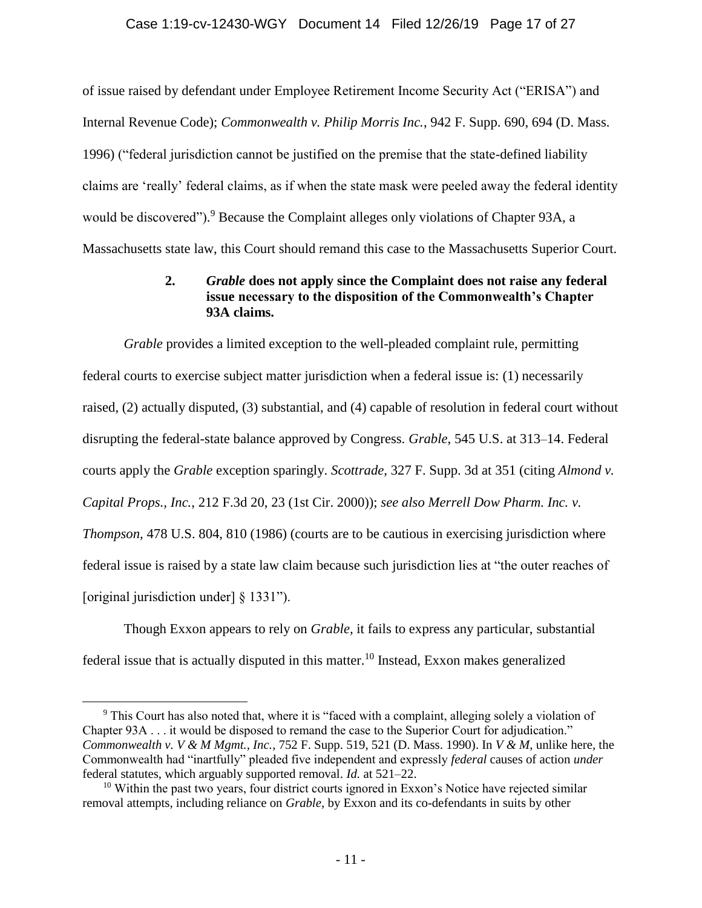#### Case 1:19-cv-12430-WGY Document 14 Filed 12/26/19 Page 17 of 27

of issue raised by defendant under Employee Retirement Income Security Act ("ERISA") and Internal Revenue Code); *Commonwealth v. Philip Morris Inc.*, 942 F. Supp. 690, 694 (D. Mass. 1996) ("federal jurisdiction cannot be justified on the premise that the state-defined liability claims are 'really' federal claims, as if when the state mask were peeled away the federal identity would be discovered").<sup>9</sup> Because the Complaint alleges only violations of Chapter 93A, a Massachusetts state law, this Court should remand this case to the Massachusetts Superior Court.

## **2.** *Grable* **does not apply since the Complaint does not raise any federal issue necessary to the disposition of the Commonwealth's Chapter 93A claims.**

*Grable* provides a limited exception to the well-pleaded complaint rule, permitting federal courts to exercise subject matter jurisdiction when a federal issue is: (1) necessarily raised, (2) actually disputed, (3) substantial, and (4) capable of resolution in federal court without disrupting the federal-state balance approved by Congress. *Grable*, 545 U.S. at 313–14. Federal courts apply the *Grable* exception sparingly. *Scottrade*, 327 F. Supp. 3d at 351 (citing *Almond v. Capital Props., Inc.*, 212 F.3d 20, 23 (1st Cir. 2000)); *see also Merrell Dow Pharm. Inc. v. Thompson*, 478 U.S. 804, 810 (1986) (courts are to be cautious in exercising jurisdiction where federal issue is raised by a state law claim because such jurisdiction lies at "the outer reaches of [original jurisdiction under] § 1331").

<span id="page-16-0"></span>Though Exxon appears to rely on *Grable,* it fails to express any particular, substantial federal issue that is actually disputed in this matter.<sup>10</sup> Instead, Exxon makes generalized

<sup>&</sup>lt;sup>9</sup> This Court has also noted that, where it is "faced with a complaint, alleging solely a violation of Chapter 93A . . . it would be disposed to remand the case to the Superior Court for adjudication." *Commonwealth v. V & M Mgmt., Inc.*, 752 F. Supp. 519, 521 (D. Mass. 1990). In *V & M*, unlike here, the Commonwealth had "inartfully" pleaded five independent and expressly *federal* causes of action *under*  federal statutes, which arguably supported removal. *Id.* at 521–22.

<sup>&</sup>lt;sup>10</sup> Within the past two years, four district courts ignored in Exxon's Notice have rejected similar removal attempts, including reliance on *Grable*, by Exxon and its co-defendants in suits by other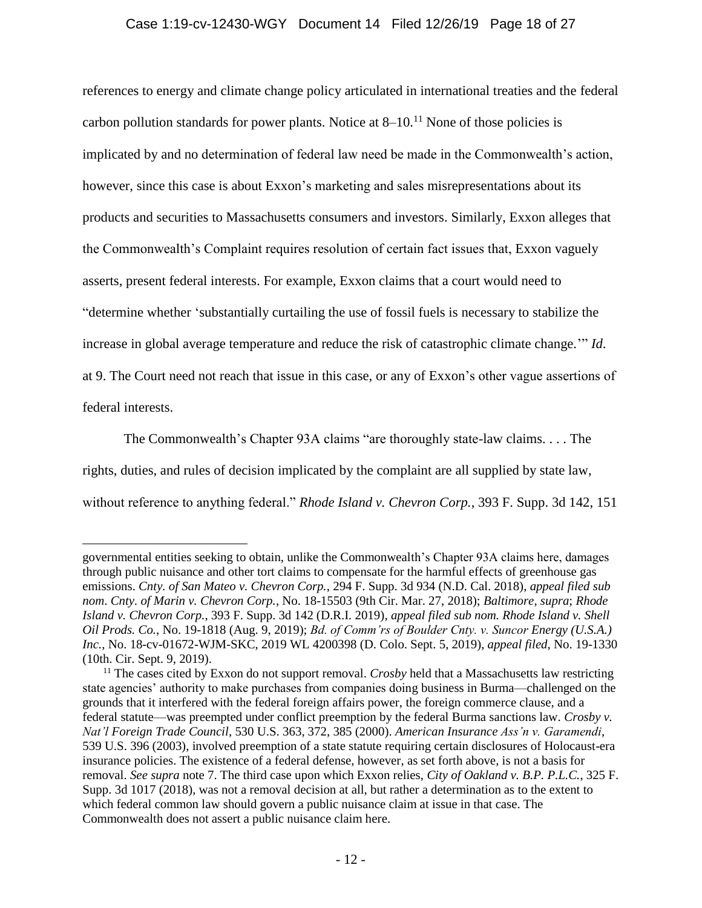#### Case 1:19-cv-12430-WGY Document 14 Filed 12/26/19 Page 18 of 27

references to energy and climate change policy articulated in international treaties and the federal carbon pollution standards for power plants. Notice at  $8-10$ .<sup>11</sup> None of those policies is implicated by and no determination of federal law need be made in the Commonwealth's action, however, since this case is about Exxon's marketing and sales misrepresentations about its products and securities to Massachusetts consumers and investors. Similarly, Exxon alleges that the Commonwealth's Complaint requires resolution of certain fact issues that, Exxon vaguely asserts, present federal interests. For example, Exxon claims that a court would need to "determine whether 'substantially curtailing the use of fossil fuels is necessary to stabilize the increase in global average temperature and reduce the risk of catastrophic climate change.'" *Id*. at 9. The Court need not reach that issue in this case, or any of Exxon's other vague assertions of federal interests.

The Commonwealth's Chapter 93A claims "are thoroughly state-law claims. . . . The rights, duties, and rules of decision implicated by the complaint are all supplied by state law, without reference to anything federal." *Rhode Island v. Chevron Corp.*, 393 F. Supp. 3d 142, 151

governmental entities seeking to obtain, unlike the Commonwealth's Chapter 93A claims here, damages through public nuisance and other tort claims to compensate for the harmful effects of greenhouse gas emissions. *Cnty. of San Mateo v. Chevron Corp.*, 294 F. Supp. 3d 934 (N.D. Cal. 2018), *appeal filed sub nom*. *Cnty. of Marin v. Chevron Corp.*, No. 18-15503 (9th Cir. Mar. 27, 2018); *Baltimore*, *supra*; *Rhode Island v. Chevron Corp.*, 393 F. Supp. 3d 142 (D.R.I. 2019), *appeal filed sub nom. Rhode Island v. Shell Oil Prods. Co.*, No. 19-1818 (Aug. 9, 2019); *Bd. of Comm'rs of Boulder Cnty. v. Suncor Energy (U.S.A.) Inc.*, No. 18-cv-01672-WJM-SKC, 2019 WL 4200398 (D. Colo. Sept. 5, 2019), *appeal filed*, No. 19-1330 (10th. Cir. Sept. 9, 2019).

<sup>&</sup>lt;sup>11</sup> The cases cited by Exxon do not support removal. *Crosby* held that a Massachusetts law restricting state agencies' authority to make purchases from companies doing business in Burma—challenged on the grounds that it interfered with the federal foreign affairs power, the foreign commerce clause, and a federal statute—was preempted under conflict preemption by the federal Burma sanctions law. *Crosby v. Nat'l Foreign Trade Council*, 530 U.S. 363, 372, 385 (2000). *American Insurance Ass'n v. Garamendi*, 539 U.S. 396 (2003), involved preemption of a state statute requiring certain disclosures of Holocaust-era insurance policies. The existence of a federal defense, however, as set forth above, is not a basis for removal. *See supra* note [7.](#page-14-0) The third case upon which Exxon relies, *City of Oakland v. B.P. P.L.C.*, 325 F. Supp. 3d 1017 (2018), was not a removal decision at all, but rather a determination as to the extent to which federal common law should govern a public nuisance claim at issue in that case. The Commonwealth does not assert a public nuisance claim here.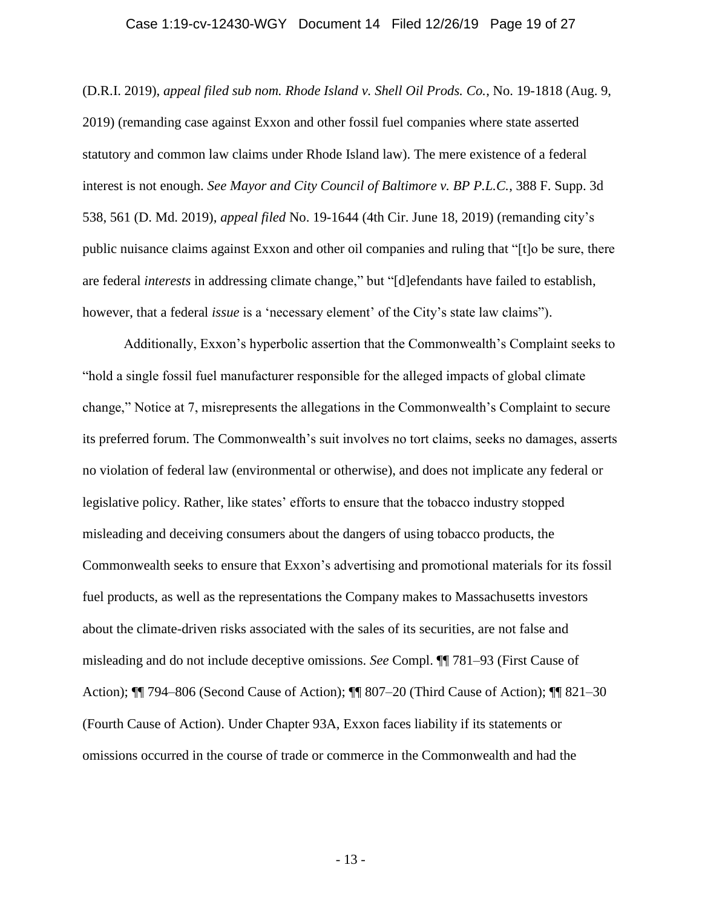#### Case 1:19-cv-12430-WGY Document 14 Filed 12/26/19 Page 19 of 27

(D.R.I. 2019), *appeal filed sub nom. Rhode Island v. Shell Oil Prods. Co.*, No. 19-1818 (Aug. 9, 2019) (remanding case against Exxon and other fossil fuel companies where state asserted statutory and common law claims under Rhode Island law). The mere existence of a federal interest is not enough. *See Mayor and City Council of Baltimore v. BP P.L.C.*, 388 F. Supp. 3d 538, 561 (D. Md. 2019), *appeal filed* No. 19-1644 (4th Cir. June 18, 2019) (remanding city's public nuisance claims against Exxon and other oil companies and ruling that "[t]o be sure, there are federal *interests* in addressing climate change," but "[d]efendants have failed to establish, however, that a federal *issue* is a 'necessary element' of the City's state law claims").

Additionally, Exxon's hyperbolic assertion that the Commonwealth's Complaint seeks to "hold a single fossil fuel manufacturer responsible for the alleged impacts of global climate change," Notice at 7, misrepresents the allegations in the Commonwealth's Complaint to secure its preferred forum. The Commonwealth's suit involves no tort claims, seeks no damages, asserts no violation of federal law (environmental or otherwise), and does not implicate any federal or legislative policy. Rather, like states' efforts to ensure that the tobacco industry stopped misleading and deceiving consumers about the dangers of using tobacco products, the Commonwealth seeks to ensure that Exxon's advertising and promotional materials for its fossil fuel products, as well as the representations the Company makes to Massachusetts investors about the climate-driven risks associated with the sales of its securities, are not false and misleading and do not include deceptive omissions. *See* Compl. ¶¶ 781–93 (First Cause of Action); ¶¶ 794–806 (Second Cause of Action); ¶¶ 807–20 (Third Cause of Action); ¶¶ 821–30 (Fourth Cause of Action). Under Chapter 93A, Exxon faces liability if its statements or omissions occurred in the course of trade or commerce in the Commonwealth and had the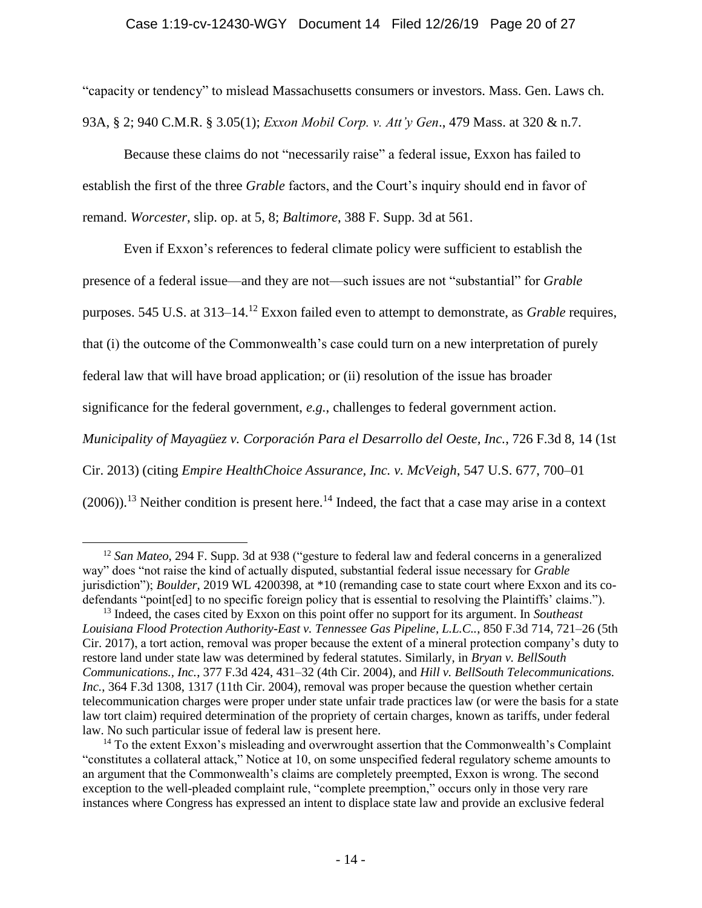#### Case 1:19-cv-12430-WGY Document 14 Filed 12/26/19 Page 20 of 27

"capacity or tendency" to mislead Massachusetts consumers or investors. Mass. Gen. Laws ch. 93A, § 2; 940 C.M.R. § 3.05(1); *Exxon Mobil Corp. v. Att'y Gen*., 479 Mass. at 320 & n.7.

Because these claims do not "necessarily raise" a federal issue, Exxon has failed to establish the first of the three *Grable* factors, and the Court's inquiry should end in favor of remand. *Worcester*, slip. op. at 5, 8; *Baltimore*, 388 F. Supp. 3d at 561.

Even if Exxon's references to federal climate policy were sufficient to establish the presence of a federal issue—and they are not—such issues are not "substantial" for *Grable*  purposes. 545 U.S. at 313–14. <sup>12</sup> Exxon failed even to attempt to demonstrate, as *Grable* requires, that (i) the outcome of the Commonwealth's case could turn on a new interpretation of purely federal law that will have broad application; or (ii) resolution of the issue has broader significance for the federal government, *e.g.*, challenges to federal government action. *Municipality of Mayagüez v. Corporación Para el Desarrollo del Oeste, Inc.*, 726 F.3d 8, 14 (1st Cir. 2013) (citing *Empire HealthChoice Assurance, Inc. v. McVeigh*, 547 U.S. 677, 700–01  $(2006)$ .<sup>13</sup> Neither condition is present here.<sup>14</sup> Indeed, the fact that a case may arise in a context

<sup>12</sup> *San Mateo*, 294 F. Supp. 3d at 938 ("gesture to federal law and federal concerns in a generalized way" does "not raise the kind of actually disputed, substantial federal issue necessary for *Grable* jurisdiction"); *Boulder*, 2019 WL 4200398, at \*10 (remanding case to state court where Exxon and its codefendants "point[ed] to no specific foreign policy that is essential to resolving the Plaintiffs' claims.").

<sup>13</sup> Indeed, the cases cited by Exxon on this point offer no support for its argument. In *Southeast Louisiana Flood Protection Authority-East v. Tennessee Gas Pipeline, L.L.C..*, 850 F.3d 714, 721–26 (5th Cir. 2017), a tort action, removal was proper because the extent of a mineral protection company's duty to restore land under state law was determined by federal statutes. Similarly, in *Bryan v. BellSouth Communications., Inc.*, 377 F.3d 424, 431–32 (4th Cir. 2004), and *Hill v. BellSouth Telecommunications. Inc.*, 364 F.3d 1308, 1317 (11th Cir. 2004), removal was proper because the question whether certain telecommunication charges were proper under state unfair trade practices law (or were the basis for a state law tort claim) required determination of the propriety of certain charges, known as tariffs, under federal law. No such particular issue of federal law is present here.

<sup>&</sup>lt;sup>14</sup> To the extent Exxon's misleading and overwrought assertion that the Commonwealth's Complaint "constitutes a collateral attack," Notice at 10, on some unspecified federal regulatory scheme amounts to an argument that the Commonwealth's claims are completely preempted, Exxon is wrong. The second exception to the well-pleaded complaint rule, "complete preemption," occurs only in those very rare instances where Congress has expressed an intent to displace state law and provide an exclusive federal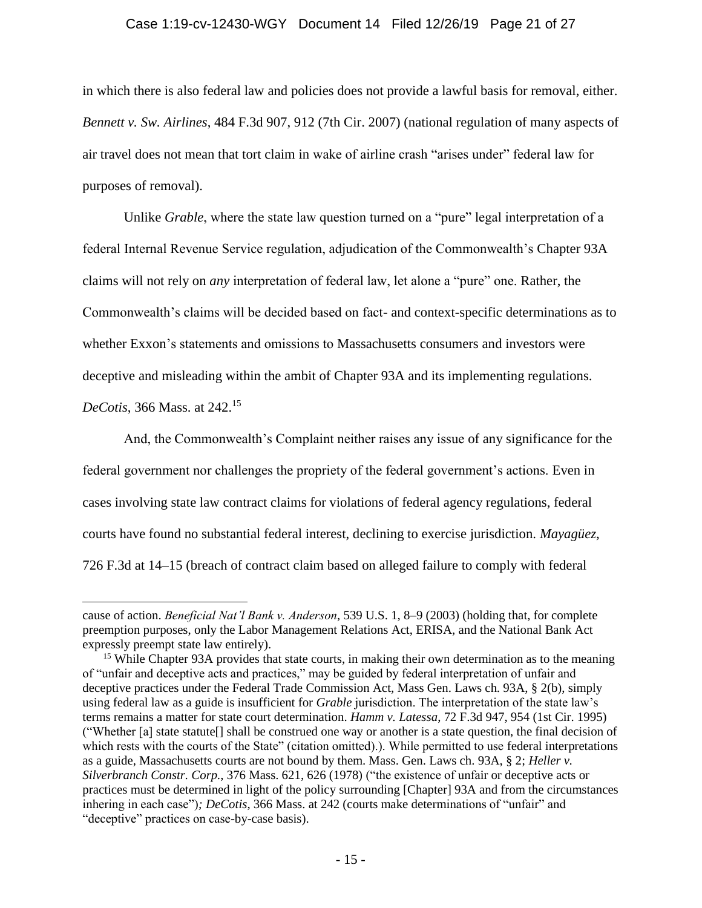#### Case 1:19-cv-12430-WGY Document 14 Filed 12/26/19 Page 21 of 27

in which there is also federal law and policies does not provide a lawful basis for removal, either. *Bennett v. Sw. Airlines*, 484 F.3d 907, 912 (7th Cir. 2007) (national regulation of many aspects of air travel does not mean that tort claim in wake of airline crash "arises under" federal law for purposes of removal).

Unlike *Grable*, where the state law question turned on a "pure" legal interpretation of a federal Internal Revenue Service regulation, adjudication of the Commonwealth's Chapter 93A claims will not rely on *any* interpretation of federal law, let alone a "pure" one. Rather, the Commonwealth's claims will be decided based on fact- and context-specific determinations as to whether Exxon's statements and omissions to Massachusetts consumers and investors were deceptive and misleading within the ambit of Chapter 93A and its implementing regulations.

*DeCotis*, 366 Mass. at 242. 15

 $\overline{a}$ 

And, the Commonwealth's Complaint neither raises any issue of any significance for the federal government nor challenges the propriety of the federal government's actions. Even in cases involving state law contract claims for violations of federal agency regulations, federal courts have found no substantial federal interest, declining to exercise jurisdiction. *Mayagüez*, 726 F.3d at 14–15 (breach of contract claim based on alleged failure to comply with federal

cause of action. *Beneficial Nat'l Bank v. Anderson*, 539 U.S. 1, 8–9 (2003) (holding that, for complete preemption purposes, only the Labor Management Relations Act, ERISA, and the National Bank Act expressly preempt state law entirely).

<sup>&</sup>lt;sup>15</sup> While Chapter 93A provides that state courts, in making their own determination as to the meaning of "unfair and deceptive acts and practices," may be guided by federal interpretation of unfair and deceptive practices under the Federal Trade Commission Act, Mass Gen. Laws ch. 93A, § 2(b), simply using federal law as a guide is insufficient for *Grable* jurisdiction. The interpretation of the state law's terms remains a matter for state court determination. *Hamm v. Latessa*, 72 F.3d 947, 954 (1st Cir. 1995) ("Whether [a] state statute[] shall be construed one way or another is a state question, the final decision of which rests with the courts of the State" (citation omitted).). While permitted to use federal interpretations as a guide, Massachusetts courts are not bound by them. Mass. Gen. Laws ch. 93A, § 2; *Heller v. Silverbranch Constr. Corp.*, 376 Mass. 621, 626 (1978) ("the existence of unfair or deceptive acts or practices must be determined in light of the policy surrounding [Chapter] 93A and from the circumstances inhering in each case")*; DeCotis*, 366 Mass. at 242 (courts make determinations of "unfair" and "deceptive" practices on case-by-case basis).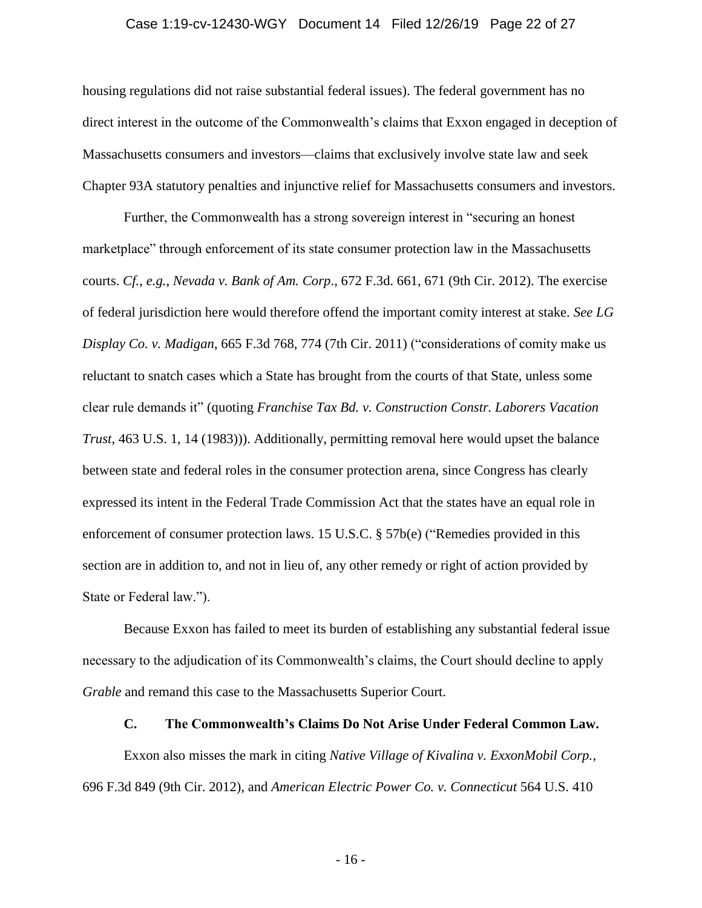#### Case 1:19-cv-12430-WGY Document 14 Filed 12/26/19 Page 22 of 27

housing regulations did not raise substantial federal issues). The federal government has no direct interest in the outcome of the Commonwealth's claims that Exxon engaged in deception of Massachusetts consumers and investors—claims that exclusively involve state law and seek Chapter 93A statutory penalties and injunctive relief for Massachusetts consumers and investors.

Further, the Commonwealth has a strong sovereign interest in "securing an honest marketplace" through enforcement of its state consumer protection law in the Massachusetts courts. *Cf., e.g.*, *Nevada v. Bank of Am. Corp*., 672 F.3d. 661, 671 (9th Cir. 2012). The exercise of federal jurisdiction here would therefore offend the important comity interest at stake. *See LG Display Co. v. Madigan*, 665 F.3d 768, 774 (7th Cir. 2011) ("considerations of comity make us reluctant to snatch cases which a State has brought from the courts of that State, unless some clear rule demands it" (quoting *Franchise Tax Bd. v. Construction Constr. Laborers Vacation Trust*, 463 U.S. 1, 14 (1983))). Additionally, permitting removal here would upset the balance between state and federal roles in the consumer protection arena, since Congress has clearly expressed its intent in the Federal Trade Commission Act that the states have an equal role in enforcement of consumer protection laws. 15 U.S.C. § 57b(e) ("Remedies provided in this section are in addition to, and not in lieu of, any other remedy or right of action provided by State or Federal law.").

Because Exxon has failed to meet its burden of establishing any substantial federal issue necessary to the adjudication of its Commonwealth's claims, the Court should decline to apply *Grable* and remand this case to the Massachusetts Superior Court.

#### **C. The Commonwealth's Claims Do Not Arise Under Federal Common Law.**

Exxon also misses the mark in citing *Native Village of Kivalina v. ExxonMobil Corp.*, 696 F.3d 849 (9th Cir. 2012), and *American Electric Power Co. v. Connecticut* 564 U.S. 410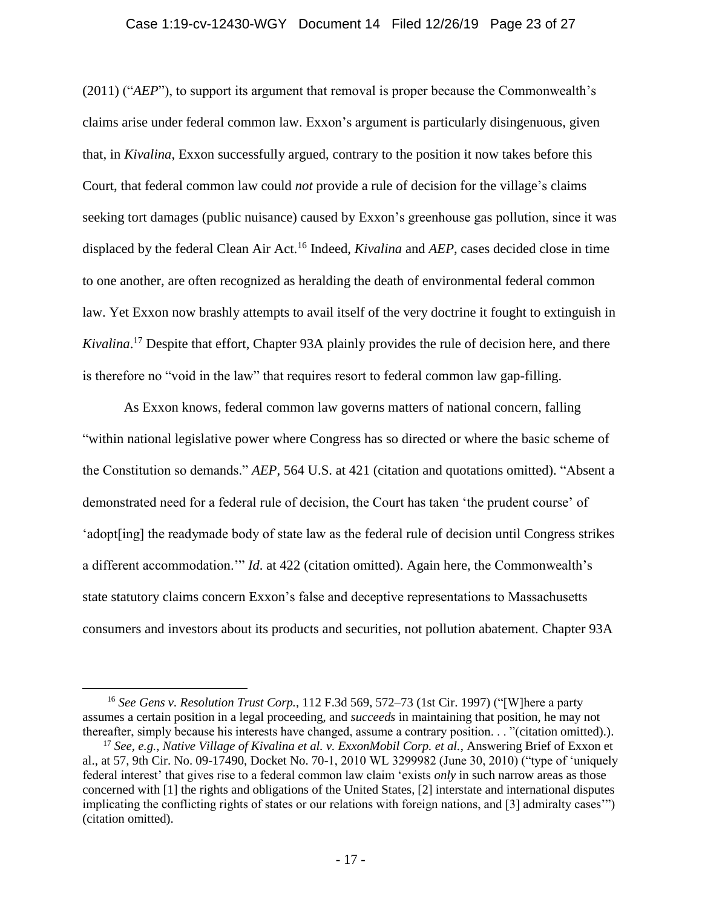#### Case 1:19-cv-12430-WGY Document 14 Filed 12/26/19 Page 23 of 27

(2011) ("*AEP*"), to support its argument that removal is proper because the Commonwealth's claims arise under federal common law. Exxon's argument is particularly disingenuous, given that, in *Kivalina*, Exxon successfully argued, contrary to the position it now takes before this Court, that federal common law could *not* provide a rule of decision for the village's claims seeking tort damages (public nuisance) caused by Exxon's greenhouse gas pollution, since it was displaced by the federal Clean Air Act.<sup>16</sup> Indeed, *Kivalina* and *AEP*, cases decided close in time to one another, are often recognized as heralding the death of environmental federal common law. Yet Exxon now brashly attempts to avail itself of the very doctrine it fought to extinguish in *Kivalina*. <sup>17</sup> Despite that effort, Chapter 93A plainly provides the rule of decision here, and there is therefore no "void in the law" that requires resort to federal common law gap-filling.

As Exxon knows, federal common law governs matters of national concern, falling "within national legislative power where Congress has so directed or where the basic scheme of the Constitution so demands." *AEP*, 564 U.S. at 421 (citation and quotations omitted). "Absent a demonstrated need for a federal rule of decision, the Court has taken 'the prudent course' of 'adopt[ing] the readymade body of state law as the federal rule of decision until Congress strikes a different accommodation.'" *Id*. at 422 (citation omitted). Again here, the Commonwealth's state statutory claims concern Exxon's false and deceptive representations to Massachusetts consumers and investors about its products and securities, not pollution abatement. Chapter 93A

<sup>16</sup> *See Gens v. Resolution Trust Corp.*, 112 F.3d 569, 572–73 (1st Cir. 1997) ("[W]here a party assumes a certain position in a legal proceeding, and *succeeds* in maintaining that position, he may not thereafter, simply because his interests have changed, assume a contrary position. . . "(citation omitted).).

<sup>17</sup> *See, e.g.*, *Native Village of Kivalina et al. v. ExxonMobil Corp. et al.*, Answering Brief of Exxon et al., at 57, 9th Cir. No. 09-17490, Docket No. 70-1, 2010 WL 3299982 (June 30, 2010) ("type of 'uniquely federal interest' that gives rise to a federal common law claim 'exists *only* in such narrow areas as those concerned with [1] the rights and obligations of the United States, [2] interstate and international disputes implicating the conflicting rights of states or our relations with foreign nations, and [3] admiralty cases'") (citation omitted).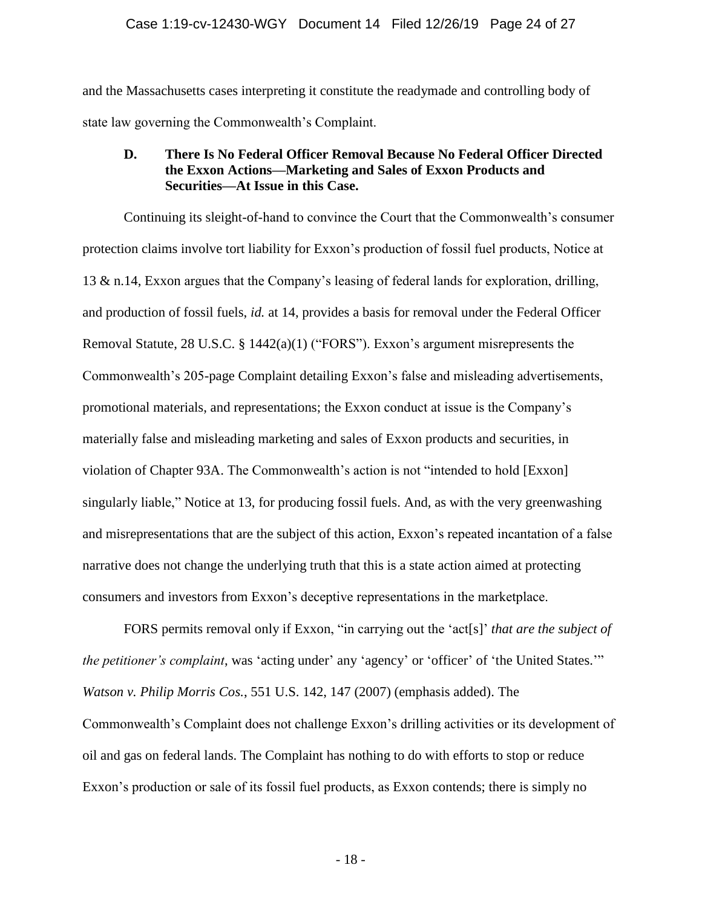and the Massachusetts cases interpreting it constitute the readymade and controlling body of state law governing the Commonwealth's Complaint.

## **D. There Is No Federal Officer Removal Because No Federal Officer Directed the Exxon Actions—Marketing and Sales of Exxon Products and Securities—At Issue in this Case.**

Continuing its sleight-of-hand to convince the Court that the Commonwealth's consumer protection claims involve tort liability for Exxon's production of fossil fuel products, Notice at 13 & n.14, Exxon argues that the Company's leasing of federal lands for exploration, drilling, and production of fossil fuels, *id.* at 14, provides a basis for removal under the Federal Officer Removal Statute, 28 U.S.C. § 1442(a)(1) ("FORS"). Exxon's argument misrepresents the Commonwealth's 205-page Complaint detailing Exxon's false and misleading advertisements, promotional materials, and representations; the Exxon conduct at issue is the Company's materially false and misleading marketing and sales of Exxon products and securities, in violation of Chapter 93A. The Commonwealth's action is not "intended to hold [Exxon] singularly liable," Notice at 13, for producing fossil fuels. And, as with the very greenwashing and misrepresentations that are the subject of this action, Exxon's repeated incantation of a false narrative does not change the underlying truth that this is a state action aimed at protecting consumers and investors from Exxon's deceptive representations in the marketplace.

FORS permits removal only if Exxon, "in carrying out the 'act[s]' *that are the subject of the petitioner's complaint*, was 'acting under' any 'agency' or 'officer' of 'the United States.'" *Watson v. Philip Morris Cos.*, 551 U.S. 142, 147 (2007) (emphasis added). The Commonwealth's Complaint does not challenge Exxon's drilling activities or its development of oil and gas on federal lands. The Complaint has nothing to do with efforts to stop or reduce Exxon's production or sale of its fossil fuel products, as Exxon contends; there is simply no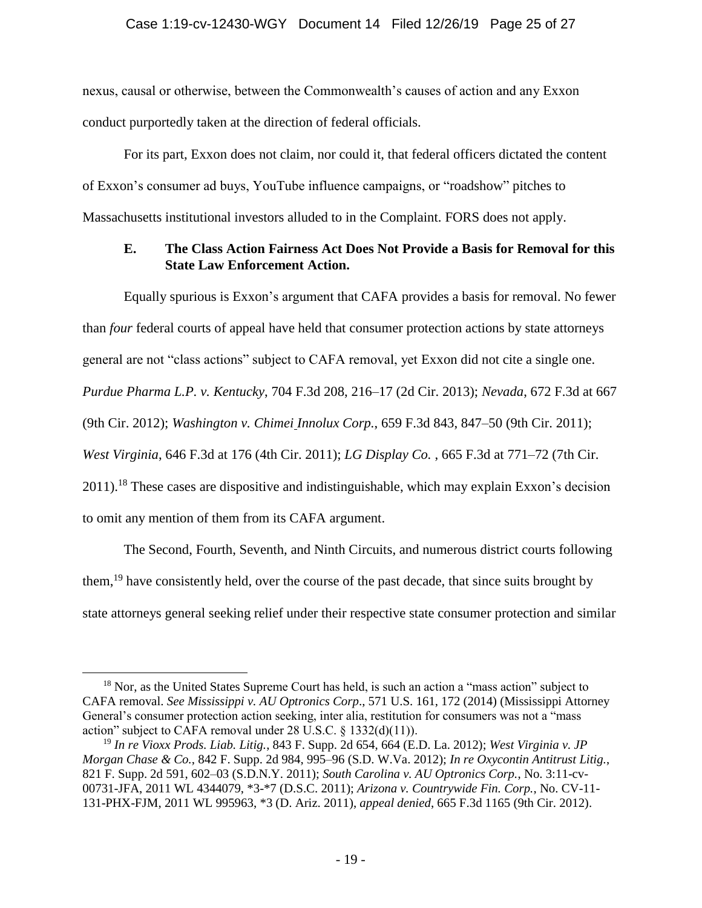nexus, causal or otherwise, between the Commonwealth's causes of action and any Exxon conduct purportedly taken at the direction of federal officials.

For its part, Exxon does not claim, nor could it, that federal officers dictated the content of Exxon's consumer ad buys, YouTube influence campaigns, or "roadshow" pitches to Massachusetts institutional investors alluded to in the Complaint. FORS does not apply.

## **E. The Class Action Fairness Act Does Not Provide a Basis for Removal for this State Law Enforcement Action.**

Equally spurious is Exxon's argument that CAFA provides a basis for removal. No fewer than *four* federal courts of appeal have held that consumer protection actions by state attorneys general are not "class actions" subject to CAFA removal, yet Exxon did not cite a single one. *Purdue Pharma L.P. v. Kentucky*, 704 F.3d 208, 216–17 (2d Cir. 2013); *Nevada*, 672 F.3d at 667 (9th Cir. 2012); *Washington v. Chimei Innolux Corp.*, 659 F.3d 843, 847–50 (9th Cir. 2011); *West Virginia*, 646 F.3d at 176 (4th Cir. 2011); *LG Display Co.* , 665 F.3d at 771–72 (7th Cir.  $2011$ <sup>18</sup>. These cases are dispositive and indistinguishable, which may explain Exxon's decision to omit any mention of them from its CAFA argument.

The Second, Fourth, Seventh, and Ninth Circuits, and numerous district courts following them,<sup>19</sup> have consistently held, over the course of the past decade, that since suits brought by state attorneys general seeking relief under their respective state consumer protection and similar

<sup>&</sup>lt;sup>18</sup> Nor, as the United States Supreme Court has held, is such an action a "mass action" subject to CAFA removal. *See Mississippi v. AU Optronics Corp*., 571 U.S. 161, 172 (2014) (Mississippi Attorney General's consumer protection action seeking, inter alia, restitution for consumers was not a "mass action" subject to CAFA removal under 28 U.S.C. § 1332(d)(11)).

<sup>19</sup> *In re Vioxx Prods. Liab. Litig.*, 843 F. Supp. 2d 654, 664 (E.D. La. 2012); *West Virginia v. JP Morgan Chase & Co.*, 842 F. Supp. 2d 984, 995–96 (S.D. W.Va. 2012); *In re Oxycontin Antitrust Litig.*, 821 F. Supp. 2d 591, 602–03 (S.D.N.Y. 2011); *South Carolina v. AU Optronics Corp.*, No. 3:11-cv-00731-JFA, 2011 WL 4344079, \*3-\*7 (D.S.C. 2011); *Arizona v. Countrywide Fin. Corp.*, No. CV-11- 131-PHX-FJM, 2011 WL 995963, \*3 (D. Ariz. 2011), *appeal denied*, 665 F.3d 1165 (9th Cir. 2012).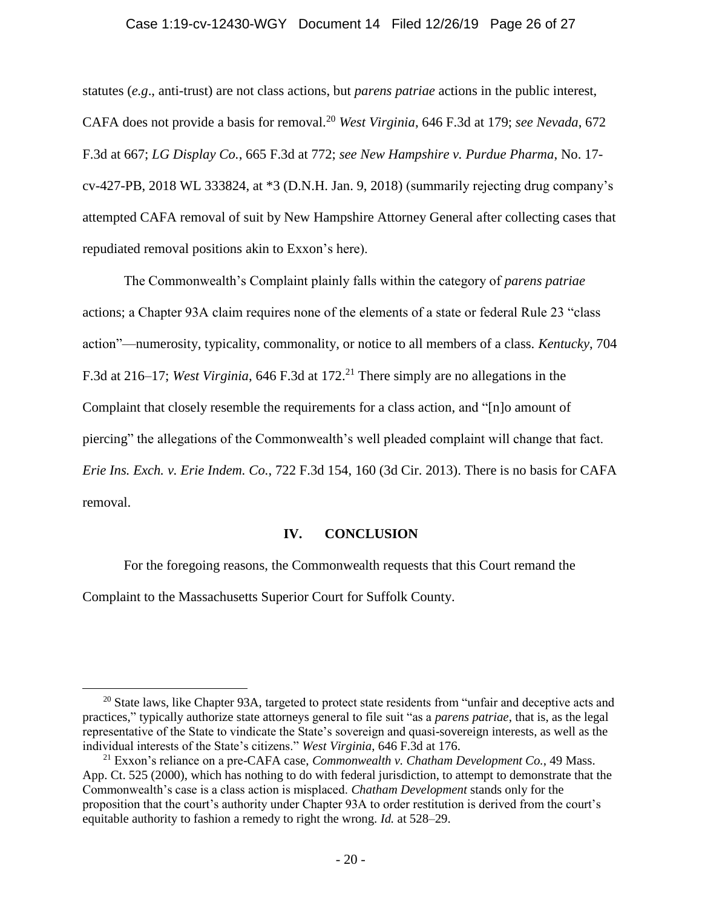#### Case 1:19-cv-12430-WGY Document 14 Filed 12/26/19 Page 26 of 27

statutes (*e.g*., anti-trust) are not class actions, but *parens patriae* actions in the public interest, CAFA does not provide a basis for removal.<sup>20</sup> *West Virginia*, 646 F.3d at 179; *see Nevada*, 672 F.3d at 667; *LG Display Co.*, 665 F.3d at 772; *see New Hampshire v. Purdue Pharma*, No. 17 cv-427-PB, 2018 WL 333824, at \*3 (D.N.H. Jan. 9, 2018) (summarily rejecting drug company's attempted CAFA removal of suit by New Hampshire Attorney General after collecting cases that repudiated removal positions akin to Exxon's here).

The Commonwealth's Complaint plainly falls within the category of *parens patriae*  actions; a Chapter 93A claim requires none of the elements of a state or federal Rule 23 "class action"—numerosity, typicality, commonality, or notice to all members of a class. *Kentucky*, 704 F.3d at 216–17; *West Virginia*, 646 F.3d at 172. <sup>21</sup> There simply are no allegations in the Complaint that closely resemble the requirements for a class action, and "[n]o amount of piercing" the allegations of the Commonwealth's well pleaded complaint will change that fact. *Erie Ins. Exch. v. Erie Indem. Co.*, 722 F.3d 154, 160 (3d Cir. 2013). There is no basis for CAFA removal.

#### **IV. CONCLUSION**

For the foregoing reasons, the Commonwealth requests that this Court remand the

Complaint to the Massachusetts Superior Court for Suffolk County.

<sup>&</sup>lt;sup>20</sup> State laws, like Chapter 93A, targeted to protect state residents from "unfair and deceptive acts and practices," typically authorize state attorneys general to file suit "as a *parens patriae*, that is, as the legal representative of the State to vindicate the State's sovereign and quasi-sovereign interests, as well as the individual interests of the State's citizens." *West Virginia*, 646 F.3d at 176.

<sup>21</sup> Exxon's reliance on a pre-CAFA case, *Commonwealth v. Chatham Development Co.*, 49 Mass. App. Ct. 525 (2000), which has nothing to do with federal jurisdiction, to attempt to demonstrate that the Commonwealth's case is a class action is misplaced. *Chatham Development* stands only for the proposition that the court's authority under Chapter 93A to order restitution is derived from the court's equitable authority to fashion a remedy to right the wrong. *Id.* at 528–29.